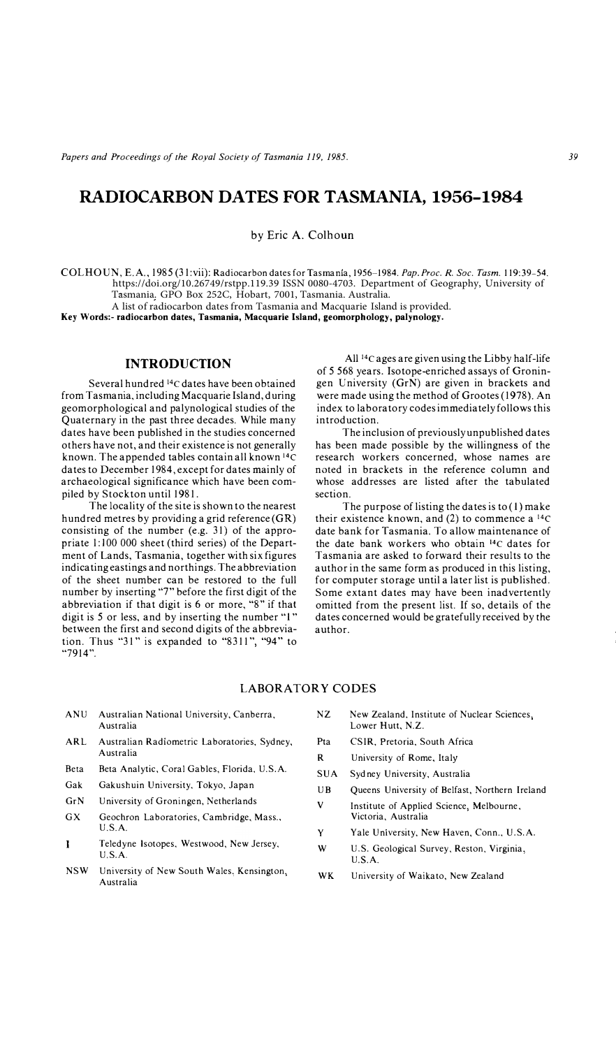# **RADIOCARBON DATES FOR TASMANIA, 1956-1984**

by Eric A. Colhoun

COL HO l\_;',, E.A., 198 5 (31 :vii): Radiocarbon dates for Tasma ma, 1956-1984. *Pap. Proc. R. Soc. Tasm.* 119:39-54. https://doi.org/10.26749/rstpp.119.39 ISSN 0080-4703. Department of Geography, University of Tasmania. GPO Box 252C, Hobart, 7001, Tasmania. Australia.

A list of radiocarbon dates from Tasmania and Macquarie Island is provided. **Key Words:- radiocarbon dates, Tasmania, Macquarie Island, geomorphology, palynology.** 

#### **INTRODUCTION**

Several hundred 14c dates have been obtained from Tasmania. including Macquarie Island, during geomorphological and palynological studies of the Quaternary in the past three decades. While many dates have been published in the studies concerned others have not, and their existence is not generally known. The appended tables contain all known <sup>14</sup>C dates to December 1984, except for dates mainly of archaeological significance which have been compiled by Stockton until 1981.

The locality of the site is shown to the nearest hundred metres by providing a grid reference (GR) consisting of the number (e.g. 31) of the appropriate 1:100 000 sheet (third series) of the Department of Lands, Tasmania, together with six figures indicating eastings and northings. The abbreviation of the sheet number can be restored to the full number by inserting "T' before the first digit of the abbreviation if that digit is  $6$  or more, " $8$ " if that digit is 5 or less, and by inserting the number "I" between the first and second digits of the abbreviation. Thus "31" is expanded to "8311", "94" to "7914".

All <sup>1</sup> <sup>4</sup>c ages are given using the Libby half-life of 5 568 years. Isotope-enriched assays of Groningen University (GrN) are given in brackets and were made using the method of Grootes (1978). An index to laboratory codes immediately follows this introduction.

The inclusion of previously unpublished dates has been made possible by the willingness of the research workers concerned. whose names are noted in brackets in the reference column and whose addresses are listed after the tabulated section.

The purpose of listing the dates is to (I) make their existence known, and  $(2)$  to commence a <sup>14</sup>C date bank for Tasmania. To allow maintenance of the date bank workers who obtain 14c dates for Tasmania are asked to forward their results to the author in the same form as produced in this listing, for computer storage until a later list is published. Some extant dates may have been inadvertently omitted from the present list. If so. details of the dates concerned would be gratefully received by the author.

#### **LABO RA TORY CODES**

- ANU Australian National University, Canberra. Austraiia
- ARL Australian Radiometric Laboratories. Sydney. Australia
- Beta Beta Analytic, Coral Gables, Florida. U.S.A.
- Gak Gakushuin University. Tokyo. Japan
- GrN University of Groningen, Netherlands
- GX Geochron Laboratories, Cambridge, Mass., U.S.A.
- Teledyne Isotopes, Westwood, New Jersey,  $\mathbf{I}$ U.S.A.
- NSW University of New South Wales, Kensington, Australia
- NZ New Zealand, Institute of Nuclear Sciences, Lower Hutt, N.Z.
- Pta CSIR. Pretoria. South Africa
- R University of Rome. Italy
- SUA Sydney University. Australia
- UB Queens University of Belfast, Northern Ireland
- V Institute of Applied Science. Melbourne. Victoria. Australia
- Y Yale University, New Haven, Conn., U.S.A.
- **w**  U.S. Geological Survey. Reston. Virginia. U.SA.
- **WK**  University of Waikato, New Zealand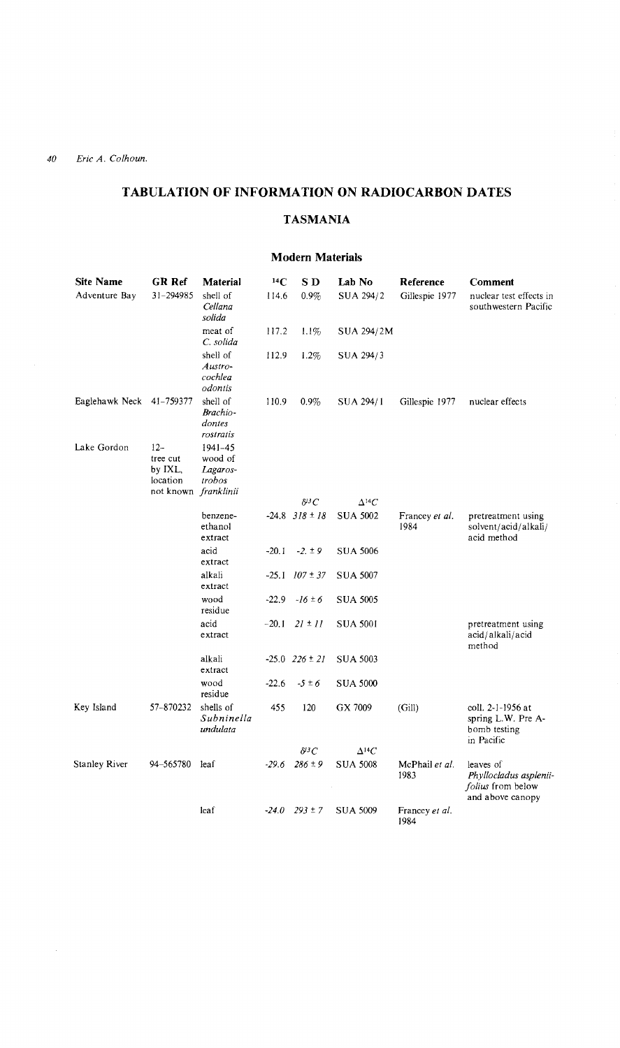## **TABULATION OF INFORMATION ON RADIOCARBON DATES**

## **TASMANIA**

### **Modem Materials**

| <b>Site Name</b>         | <b>GR Ref</b>                                                    | <b>Material</b>                              | $^{14}C$ | SD <sub></sub>       | Lab No          | Reference              | Comment                                                                      |
|--------------------------|------------------------------------------------------------------|----------------------------------------------|----------|----------------------|-----------------|------------------------|------------------------------------------------------------------------------|
| Adventure Bay            | 31-294985                                                        | shell of<br>Cellana<br>solida                | 114.6    | $0.9\%$              | SUA 294/2       | Gillespie 1977         | nuclear test effects in<br>southwestern Pacific                              |
|                          |                                                                  | meat of<br>C. solida                         | 117.2    | 1.1%                 | SUA 294/2M      |                        |                                                                              |
|                          |                                                                  | shell of<br>Austro-<br>cochlea<br>odontis    | 112.9    | 1.2%                 | SUA 294/3       |                        |                                                                              |
| Eaglehawk Neck 41-759377 |                                                                  | shell of<br>Brachio-<br>dontes<br>rostratis  | 110.9    | $0.9\%$              | SUA 294/1       | Gillespie 1977         | nuclear effects                                                              |
| Lake Gordon              | $12-$<br>tree cut<br>by IXL,<br>location<br>not known franklinii | $1941 - 45$<br>wood of<br>Lagaros-<br>trobos |          |                      |                 |                        |                                                                              |
|                          |                                                                  |                                              |          | $\delta^{ij}C$       | $\Delta^{14}C$  |                        |                                                                              |
|                          |                                                                  | benzene-<br>ethanol<br>extract               |          | $-24.8$ $318 \pm 18$ | <b>SUA 5002</b> | Francey et al.<br>1984 | pretreatment using<br>solvent/acid/alkali/<br>acid method                    |
|                          |                                                                  | acid<br>extract                              | $-20.1$  | $-2. \pm 9$          | <b>SUA 5006</b> |                        |                                                                              |
|                          |                                                                  | alkali<br>extract                            | $-25.1$  | $107 \pm 37$         | <b>SUA 5007</b> |                        |                                                                              |
|                          |                                                                  | wood<br>residue                              | $-22.9$  | $-16 \pm 6$          | <b>SUA 5005</b> |                        |                                                                              |
|                          |                                                                  | acid<br>extract                              | $-20.1$  | $21 \pm 11$          | <b>SUA 5001</b> |                        | pretreatment using<br>acıd/alkalı/acid<br>method                             |
|                          |                                                                  | alkali<br>extract                            |          | $-25.0$ $226 \pm 21$ | <b>SUA 5003</b> |                        |                                                                              |
|                          |                                                                  | wood<br>residue                              | $-22.6$  | $-5 \pm 6$           | <b>SUA 5000</b> |                        |                                                                              |
| Key Island               | 57-870232                                                        | shells of<br>Subninella<br>undulata          | 455      | 120                  | GX 7009         | (Gill)                 | coll. 2-1-1956 at<br>spring L.W. Pre A-<br>bomb testing<br>in Pacific        |
|                          |                                                                  |                                              |          | $\delta^{ij}C$       | $\Delta^{14}C$  |                        |                                                                              |
| Stanley River            | 94-565780                                                        | leaf                                         | $-29.6$  | $286 \pm 9$          | <b>SUA 5008</b> | McPhail et al.<br>1983 | leaves of<br>Phyllocladus asplenii-<br>folius from below<br>and above canopy |
|                          |                                                                  | leaf                                         |          | $-24.0$ $293 \pm 7$  | <b>SUA 5009</b> | Francey et al.<br>1984 |                                                                              |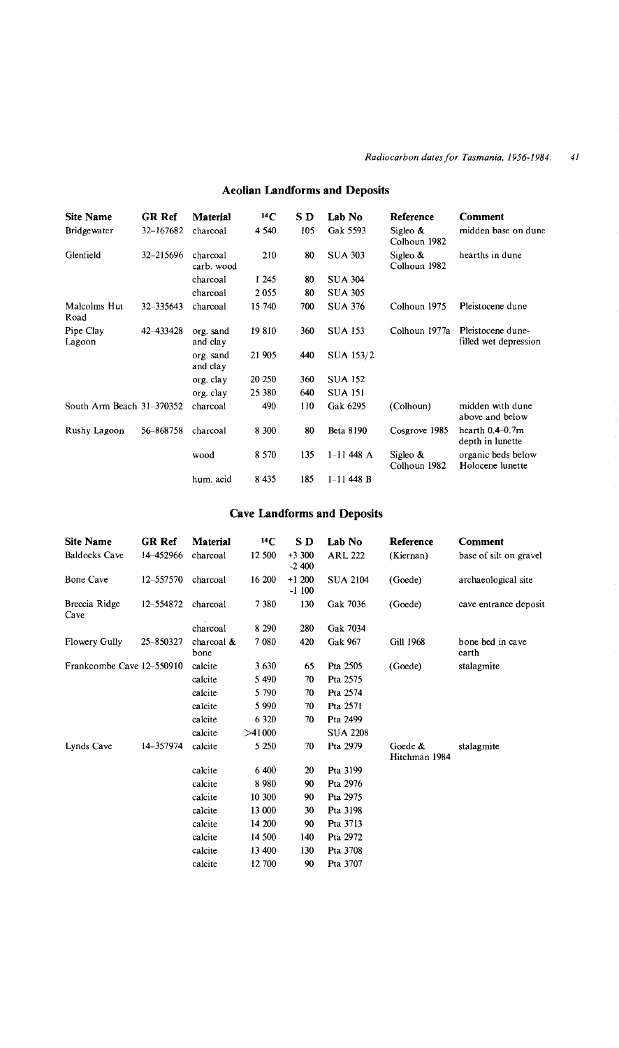| <b>Site Name</b>            | <b>GR Ref</b> | <b>Material</b>        | 14C     | S D | Lab No           | Reference                   | Comment                                    |
|-----------------------------|---------------|------------------------|---------|-----|------------------|-----------------------------|--------------------------------------------|
| <b>Bridgewater</b>          | 32-167682     | charcoal               | 4 5 4 0 | 105 | Gak 5593         | Sigleo &<br>Colhoun 1982    | midden base on dune                        |
| Glenfield                   | 32-215696     | charcoal<br>carb. wood | 210     | 80  | <b>SUA 303</b>   | Sigleo $\&$<br>Colhoun 1982 | hearths in dune                            |
|                             |               | charcoal               | 1 245   | 80  | <b>SUA 304</b>   |                             |                                            |
|                             |               | charcoal               | 2055    | 80  | <b>SUA 305</b>   |                             |                                            |
| Malcolms Hut<br>Road        | 32-335643     | charcoal               | 15 740  | 700 | <b>SUA 376</b>   | Colhoun 1975                | Pleistocene dune                           |
| Pipe Clay<br>Lagoon         | 42-433428     | org. sand<br>and clay  | 19810   | 360 | <b>SUA 153</b>   | Colhoun 1977a               | Pleistocene dune-<br>filled wet depression |
|                             |               | org. sand<br>and clay  | 21 905  | 440 | SUA 153/2        |                             |                                            |
|                             |               | org. clay              | 20 250  | 360 | <b>SUA 152</b>   |                             |                                            |
|                             |               | org. clay              | 25 380  | 640 | <b>SUA 151</b>   |                             |                                            |
| South Arm Beach $31-370352$ |               | charcoal               | 490     | 110 | Gak 6295         | (Colhoun)                   | midden with dune<br>above and below        |
| Rushy Lagoon                | 56-868758     | charcoal               | 8 300   | 80  | <b>Beta 8190</b> | Cosgrove 1985               | hearth $0.4-0.7m$<br>depth in lunette      |
|                             |               | wood                   | 8 5 7 0 | 135 | $1 - 11$ 448 A   | Sigleo &<br>Colhoun 1982    | organic beds below<br>Holocene lunette     |
|                             |               | hum, acid              | 8 4 3 5 | 185 | $1 - 11$ 448 B   |                             |                                            |

# Aeolian Landforms and Deposits

## Cave Landforms and Deposits

| <b>Site Name</b>          | GR Ref    | Material           | 14C     | S D                | Lab No          | Reference                | Comment                   |
|---------------------------|-----------|--------------------|---------|--------------------|-----------------|--------------------------|---------------------------|
| <b>Baldocks Cave</b>      | 14-452966 | charcoal           | 12 500  | $+3300$<br>$-2400$ | <b>ARL 222</b>  | (Kiernan)                | base of silt on gravel    |
| <b>Bone Cave</b>          | 12-557570 | charcoal           | 16 200  | $+1200$<br>$-1100$ | <b>SUA 2104</b> | (Goede)                  | archaeological site       |
| Breccia Ridge<br>Cave     | 12-554872 | charcoal           | 7380    | 130                | Gak 7036        | (Goede)                  | cave entrance deposit     |
|                           |           | charcoal           | 8 2 9 0 | 280                | Gak 7034        |                          |                           |
| Flowery Gully             | 25-850327 | charcoal &<br>bone | 7 0 8 0 | 420                | Gak 967         | Gill 1968                | bone bed in cave<br>earth |
| Frankcombe Cave 12-550910 |           | calcite            | 3630    | 65                 | Pta 2505        | (Goede)                  | stalagmite                |
|                           |           | calcite            | 5 4 9 0 | 70                 | Pta 2575        |                          |                           |
|                           |           | calcite            | 5 7 9 0 | 70                 | Pta 2574        |                          |                           |
|                           |           | calcite            | 5990    | 70                 | Pta 2571        |                          |                           |
|                           |           | calcite            | 6 3 2 0 | 70                 | Pta 2499        |                          |                           |
|                           |           | calcite            | >41000  |                    | <b>SUA 2208</b> |                          |                           |
| Lynds Cave                | 14-357974 | calcite            | 5 250   | 70                 | Pta 2979        | Goede &<br>Hitchman 1984 | stalagmite                |
|                           |           | calcite            | 6 400   | 20                 | Pta 3199        |                          |                           |
|                           |           | calcite            | 8980    | 90                 | Pta 2976        |                          |                           |
|                           |           | calcite            | 10 300  | 90                 | Pta 2975        |                          |                           |
|                           |           | calcite            | 13 000  | 30                 | Pta 3198        |                          |                           |
|                           |           | calcite            | 14 200  | 90                 | Pta 3713        |                          |                           |
|                           |           | calcite            | 14 500  | 140                | Pta 2972        |                          |                           |
|                           |           | calcite            | 13 400  | 130                | Pta 3708        |                          |                           |
|                           |           | calcite            | 12 700  | 90                 | Pta 3707        |                          |                           |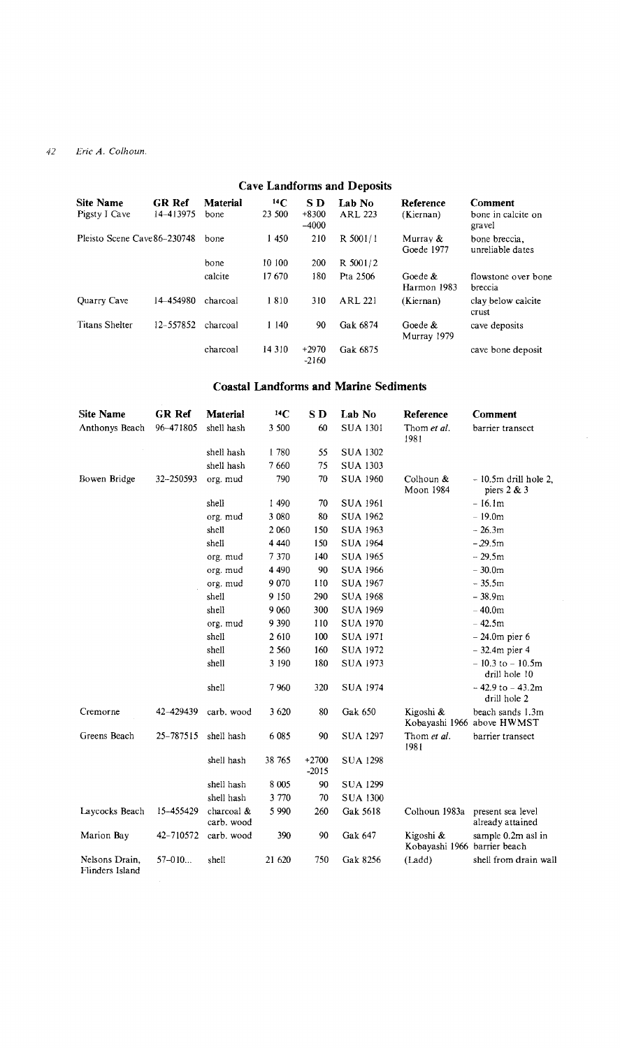| <b>Cave Landforms and Deposits</b> |                            |                  |                     |                           |                   |                           |                                         |  |  |
|------------------------------------|----------------------------|------------------|---------------------|---------------------------|-------------------|---------------------------|-----------------------------------------|--|--|
| <b>Site Name</b><br>Pigsty I Cave  | <b>GR Ref</b><br>14-413975 | Material<br>bone | $^{14}$ C<br>23 500 | S D<br>$+8300$<br>$-4000$ | Lab No<br>ARL 223 | Reference<br>(Kiernan)    | Comment<br>bone in calcite on<br>gravel |  |  |
| Pleisto Scene Cave 86-230748       |                            | hone             | 1450                | 210                       | R 5001/1          | Murray &<br>Goede 1977    | bone breccia.<br>unreliable dates       |  |  |
|                                    |                            | bone             | 10 100              | 200                       | R 5001/2          |                           |                                         |  |  |
|                                    |                            | calcite          | 17670               | 180                       | Pta 2506          | Goede &<br>Harmon 1983    | flowstone over bone<br>breccia          |  |  |
| Quarry Cave                        | 14-454980                  | charcoal         | 1810                | 310                       | ARL 221           | (Kiernan)                 | clay below calcite<br>crust             |  |  |
| <b>Titans Shelter</b>              | 12-557852                  | charcoal         | 1140                | 90                        | Gak 6874          | Goede $\&$<br>Murray 1979 | cave deposits                           |  |  |
|                                    |                            | charcoal         | 14 3 10             | $+2970$<br>$-2160$        | Gak 6875          |                           | cave bone deposit                       |  |  |

## **Coastal Landforms and Marine Sediments**

| <b>Site Name</b>                  | GR Ref    | Material                 | 14C     | SD                 | Lab No          | Reference                                 | Comment                                        |
|-----------------------------------|-----------|--------------------------|---------|--------------------|-----------------|-------------------------------------------|------------------------------------------------|
| Anthonys Beach                    | 96-471805 | shell hash               | 3 500   | 60                 | <b>SUA 1301</b> | Thom et al.<br>1981                       | barrier transect                               |
|                                   |           | shell hash               | 1780    | 55                 | <b>SUA 1302</b> |                                           |                                                |
|                                   |           | shell hash               | 7660    | 75                 | <b>SUA 1303</b> |                                           |                                                |
| Bowen Bridge                      | 32-250593 | org. mud                 | 790     | 70                 | <b>SUA 1960</b> | Colhoun &<br>Moon 1984                    | $-10.5m$ drill hole 2,<br>piers $2 & 3$        |
|                                   |           | shell                    | 1 490   | 70                 | <b>SUA 1961</b> |                                           | $-16.1m$                                       |
|                                   |           | org. mud                 | 3 0 8 0 | 80                 | <b>SUA 1962</b> |                                           | $-19.0m$                                       |
|                                   |           | shell                    | 2 0 6 0 | 150                | <b>SUA 1963</b> |                                           | $-26.3m$                                       |
|                                   |           | shell                    | 4 4 4 0 | 150                | <b>SUA 1964</b> |                                           | $-29.5m$                                       |
|                                   |           | org. mud                 | 7 370   | 140                | <b>SUA 1965</b> |                                           | $-29.5m$                                       |
|                                   |           | org. mud                 | 4 4 9 0 | 90                 | <b>SUA 1966</b> |                                           | $-30.0m$                                       |
|                                   |           | org. mud                 | 9 0 7 0 | 110                | <b>SUA 1967</b> |                                           | $-35.5m$                                       |
|                                   |           | shell                    | 9 1 5 0 | 290                | <b>SUA 1968</b> |                                           | $-38.9m$                                       |
|                                   |           | shell                    | 9 0 6 0 | 300                | <b>SUA 1969</b> |                                           | $-40.0m$                                       |
|                                   |           | org. mud                 | 9 3 9 0 | 110                | <b>SUA 1970</b> |                                           | $-42.5m$                                       |
|                                   |           | shell                    | 2 610   | 100                | <b>SUA 1971</b> |                                           | $-24.0m$ pier 6                                |
|                                   |           | shell                    | 2 5 6 0 | 160                | <b>SUA 1972</b> |                                           | $-32.4m$ pier 4                                |
|                                   |           | shell                    | 3 190   | 180                | <b>SUA 1973</b> |                                           | $-10.3$ to $-10.5$ m<br>drill hole 10          |
|                                   |           | shell                    | 7960    | 320                | <b>SUA 1974</b> |                                           | $-42.9$ to $-43.2$ m<br>drill hole 2           |
| Cremorne                          | 42-429439 | carb. wood               | 3 6 20  | 80                 | Gak 650         | Kigoshi &                                 | beach sands 1.3m<br>Kobayashi 1966 above HWMST |
| Greens Beach                      | 25-787515 | shell hash               | 6 0 8 5 | 90                 | <b>SUA 1297</b> | Thom et al.<br>1981                       | barrier transect                               |
|                                   |           | shell hash               | 38 765  | $+2700$<br>$-2015$ | <b>SUA 1298</b> |                                           |                                                |
|                                   |           | shell hash               | 8 0 0 5 | 90                 | <b>SUA 1299</b> |                                           |                                                |
|                                   |           | shell hash               | 3 770   | 70                 | <b>SUA 1300</b> |                                           |                                                |
| Laycocks Beach                    | 15-455429 | charcoal &<br>carb. wood | 5 9 9 0 | 260                | Gak 5618        | Colhoun 1983a                             | present sea level<br>already attained          |
| Marion Bay                        | 42-710572 | carb. wood               | 390     | 90                 | Gak 647         | Kigoshi &<br>Kobayashi 1966 barrier beach | sample 0.2m asl in                             |
| Nelsons Drain.<br>Flinders Island | 57-010    | shell                    | 21 620  | 750                | Gak 8256        | (Ladd)                                    | shell from drain wall                          |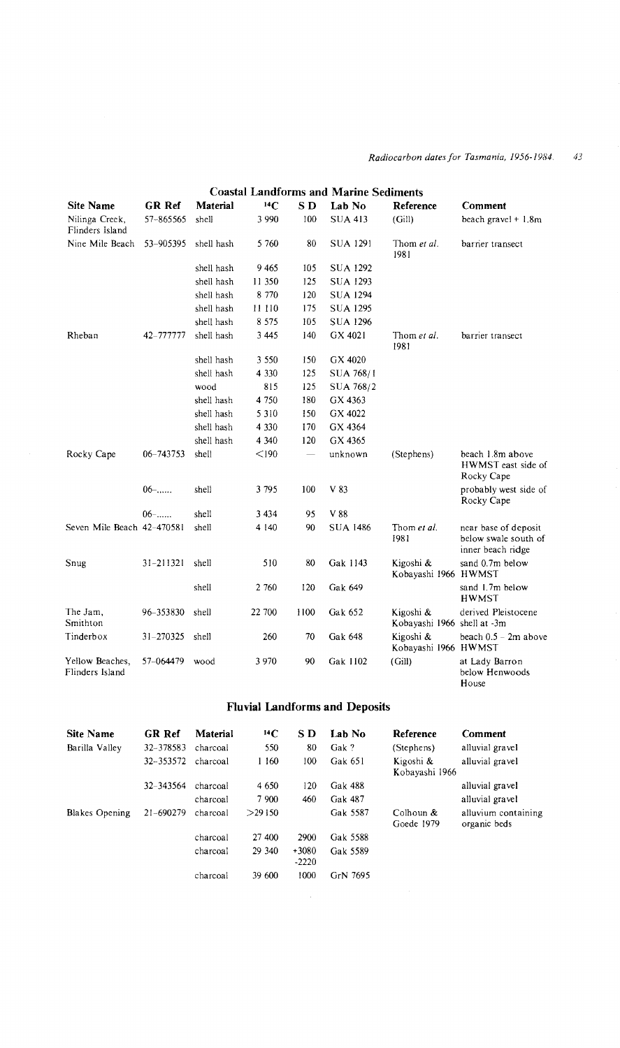## *Radiocarbon dates for Tasmania, 1956-1984.* 43

|                                    | <b>Coastal Landforms and Marine Sediments</b> |            |         |                |                 |                                          |                                                                   |  |  |  |  |
|------------------------------------|-----------------------------------------------|------------|---------|----------------|-----------------|------------------------------------------|-------------------------------------------------------------------|--|--|--|--|
| <b>Site Name</b>                   | <b>GR Ref</b>                                 | Material   | 14C     | S <sub>D</sub> | Lab No          | Reference                                | Comment                                                           |  |  |  |  |
| Nilinga Creek,<br>Flinders Island  | 57-865565                                     | shell      | 3 9 9 0 | 100            | <b>SUA 413</b>  | (Gill)                                   | beach gravel $+1.8m$                                              |  |  |  |  |
| Nine Mile Beach                    | 53-905395                                     | shell hash | 5 7 6 0 | 80             | SUA 1291        | Thom et al.<br>1981                      | barrier transect                                                  |  |  |  |  |
|                                    |                                               | shell hash | 9465    | 105            | <b>SUA 1292</b> |                                          |                                                                   |  |  |  |  |
|                                    |                                               | shell hash | 11 350  | 125            | <b>SUA 1293</b> |                                          |                                                                   |  |  |  |  |
|                                    |                                               | shell hash | 8 7 7 0 | 120            | <b>SUA 1294</b> |                                          |                                                                   |  |  |  |  |
|                                    |                                               | shell hash | 11 110  | 175            | <b>SUA 1295</b> |                                          |                                                                   |  |  |  |  |
|                                    |                                               | shell hash | 8 5 7 5 | 105            | <b>SUA 1296</b> |                                          |                                                                   |  |  |  |  |
| Rheban                             | 42-777777                                     | shell hash | 3445    | 140            | GX 4021         | Thom et al.<br>1981                      | barrier transect                                                  |  |  |  |  |
|                                    |                                               | shell hash | 3 5 5 0 | 150            | GX 4020         |                                          |                                                                   |  |  |  |  |
|                                    |                                               | shell hash | 4 3 3 0 | 125            | SUA 768/1       |                                          |                                                                   |  |  |  |  |
|                                    |                                               | wood       | 815     | 125            | SUA 768/2       |                                          |                                                                   |  |  |  |  |
|                                    |                                               | shell hash | 4 7 5 0 | 180            | GX 4363         |                                          |                                                                   |  |  |  |  |
|                                    |                                               | shell hash | 5 3 1 0 | 150            | GX 4022         |                                          |                                                                   |  |  |  |  |
|                                    |                                               | shell hash | 4 3 3 0 | 170            | GX 4364         |                                          |                                                                   |  |  |  |  |
|                                    |                                               | shell hash | 4 3 4 0 | 120            | GX 4365         |                                          |                                                                   |  |  |  |  |
| Rocky Cape                         | 06-743753                                     | shell      | $<$ 190 |                | unknown         | (Stephens)                               | beach 1.8m above<br>HWMST east side of<br>Rocky Cape              |  |  |  |  |
|                                    | $06$ -                                        | shell      | 3795    | 100            | V 83            |                                          | probably west side of<br>Rocky Cape                               |  |  |  |  |
|                                    | $06$ -                                        | shell      | 3 4 3 4 | 95             | V 88            |                                          |                                                                   |  |  |  |  |
| Seven Mile Beach 42-470581         |                                               | shell      | 4 1 4 0 | 90             | <b>SUA 1486</b> | Thom et al.<br>1981                      | near base of deposit<br>below swale south of<br>inner beach ridge |  |  |  |  |
| Snug                               | $31 - 211321$                                 | shell      | 510     | 80             | Gak 1143        | Kigoshi &<br>Kobayashi 1966 HWMST        | sand 0.7m below                                                   |  |  |  |  |
|                                    |                                               | shell      | 2 760   | 120            | Gak 649         |                                          | sand 1.7m below<br><b>HWMST</b>                                   |  |  |  |  |
| The Jam,<br>Smithton               | 96-353830                                     | shell      | 22 700  | 1100           | Gak 652         | Kigoshi &<br>Kobayashi 1966 shell at -3m | derived Pleistocene                                               |  |  |  |  |
| Tinderbox                          | 31-270325                                     | shell      | 260     | 70             | Gak 648         | Kigoshi &<br>Kobayashi 1966 HWMST        | beach $0.5 - 2m$ above                                            |  |  |  |  |
| Yellow Beaches,<br>Flinders Island | 57-064479                                     | wood       | 3 9 7 0 | 90             | Gak 1102        | (Gill)                                   | at Lady Barron<br>below Henwoods<br>House                         |  |  |  |  |

## **Fluvial Landforms and Deposits**

| Site Name             | GR Ref    | Material | 14C     | S D                | Lah No   | Reference                   | <b>Comment</b>                      |
|-----------------------|-----------|----------|---------|--------------------|----------|-----------------------------|-------------------------------------|
| Barilla Valley        | 32-378583 | charcoal | 550     | 80                 | Gak?     | (Stephens)                  | alluvial gravel                     |
|                       | 32-353572 | charcoal | 160     | 100                | Gak 651  | Kigoshi &<br>Kobayashi 1966 | alluvial gravel                     |
|                       | 32-343564 | charcoal | 4 6 5 0 | 120                | Gak 488  |                             | alluvial gravel                     |
|                       |           | charcoal | 7 900   | 460                | Gak 487  |                             | alluvial gravel                     |
| <b>Blakes Opening</b> | 21-690279 | charcoal | >29150  |                    | Gak 5587 | Colhoun &<br>Goede 1979     | alluvium containing<br>organic beds |
|                       |           | charcoal | 27 400  | 2900               | Gak 5588 |                             |                                     |
|                       |           | charcoal | 29 340  | $+3080$<br>$-2220$ | Gak 5589 |                             |                                     |
|                       |           | charcoal | 39 600  | 1000               | GrN 7695 |                             |                                     |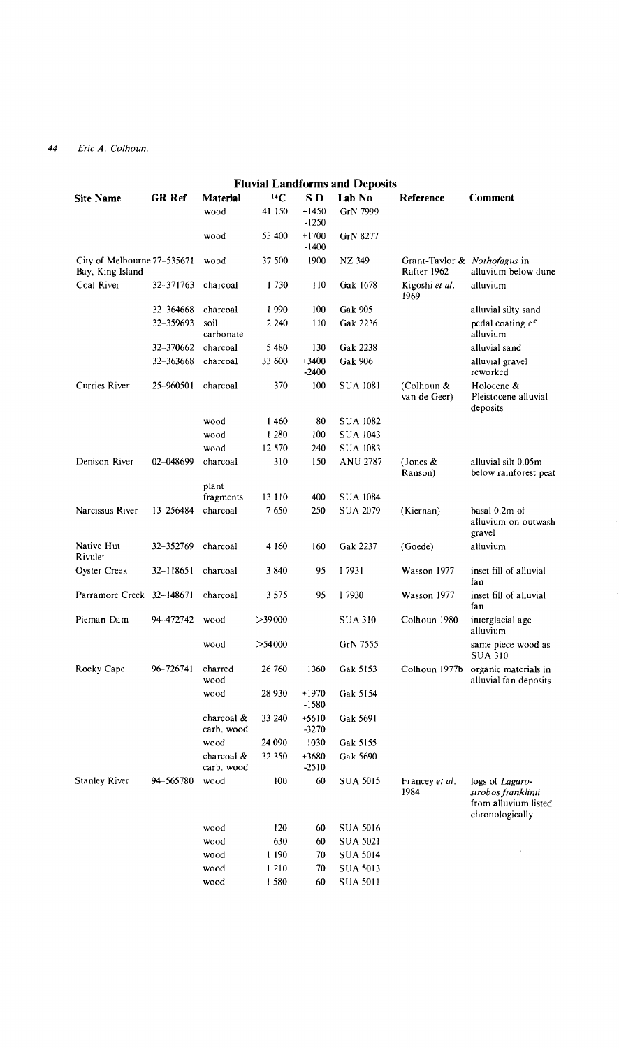| <b>Fluvial Landforms and Deposits</b>           |               |                          |           |                    |                 |                                             |                                                                                  |  |  |  |  |
|-------------------------------------------------|---------------|--------------------------|-----------|--------------------|-----------------|---------------------------------------------|----------------------------------------------------------------------------------|--|--|--|--|
| <b>Site Name</b>                                | <b>GR Ref</b> | <b>Material</b>          | $^{14}C$  | S D                | Lab No          | Reference                                   | Comment                                                                          |  |  |  |  |
|                                                 |               | wood                     | 41 150    | $+1450$<br>$-1250$ | GrN 7999        |                                             |                                                                                  |  |  |  |  |
|                                                 |               | wood                     | 53 400    | $+1700$<br>$-1400$ | GrN 8277        |                                             |                                                                                  |  |  |  |  |
| City of Melbourne 77-535671<br>Bay, King Island |               | wood                     | 37 500    | 1900               | NZ 349          | Grant-Taylor & Nothofagus in<br>Rafter 1962 | alluvium below dune                                                              |  |  |  |  |
| Coal River                                      | 32-371763     | charcoal                 | 1730      | 110                | Gak 1678        | Kigoshi et al.<br>1969                      | alluvium                                                                         |  |  |  |  |
|                                                 | 32-364668     | charcoal                 | 1990      | 100                | Gak 905         |                                             | alluvial silty sand                                                              |  |  |  |  |
|                                                 | 32-359693     | soil<br>carbonate        | 2 2 4 0   | 110                | Gak 2236        |                                             | pedal coating of<br>alluvium                                                     |  |  |  |  |
|                                                 | 32-370662     | charcoal                 | 5480      | 130                | Gak 2238        |                                             | alluvial sand                                                                    |  |  |  |  |
|                                                 | 32-363668     | charcoal                 | 33 600    | $+3400$<br>$-2400$ | Gak 906         |                                             | alluvial gravel<br>reworked                                                      |  |  |  |  |
| Curries River                                   | 25–960501     | charcoal                 | 370       | 100                | SUA 1081        | (Colhoun &<br>van de Geer)                  | Holocene &<br>Pleistocene alluvial<br>deposits                                   |  |  |  |  |
|                                                 |               | wood                     | 1460      | 80                 | <b>SUA 1082</b> |                                             |                                                                                  |  |  |  |  |
|                                                 |               | wood                     | 1 2 8 0   | 100                | <b>SUA 1043</b> |                                             |                                                                                  |  |  |  |  |
|                                                 |               | wood                     | 12 570    | 240                | <b>SUA 1083</b> |                                             |                                                                                  |  |  |  |  |
| Denison River                                   | 02-048699     | charcoal                 | 310       | 150                | <b>ANU 2787</b> | (Jones &<br>Ranson)                         | alluvial silt 0.05m<br>below rainforest peat                                     |  |  |  |  |
|                                                 |               | plant                    |           |                    |                 |                                             |                                                                                  |  |  |  |  |
|                                                 |               | fragments                | 13 110    | 400                | <b>SUA 1084</b> |                                             |                                                                                  |  |  |  |  |
| Narcissus River                                 | 13-256484     | charcoal                 | 7650      | 250                | <b>SUA 2079</b> | (Kiernan)                                   | basal 0.2m of<br>alluvium on outwash<br>gravel                                   |  |  |  |  |
| Native Hut<br>Rivulet                           | 32-352769     | charcoal                 | 4 160     | 160                | Gak 2237        | (Goede)                                     | alluvium                                                                         |  |  |  |  |
| Oyster Creek                                    | 32-118651     | charcoal                 | 3840      | 95                 | I 7931          | Wasson 1977                                 | inset fill of alluvial<br>fan                                                    |  |  |  |  |
| Parramore Creek 32-148671                       |               | charcoal                 | 3 5 7 5   | 95                 | 17930           | Wasson 1977                                 | inset fill of alluvial<br>fan                                                    |  |  |  |  |
| Pieman Dam                                      | 94-472742     | wood                     | >39000    |                    | <b>SUA 310</b>  | Colhoun 1980                                | interglacial age<br>alluvium                                                     |  |  |  |  |
|                                                 |               | wood                     | $>$ 54000 |                    | GrN 7555        |                                             | same piece wood as<br><b>SUA 310</b>                                             |  |  |  |  |
| Rocky Cape                                      | 96-726741     | charred<br>wood          | 26 760    | 1360               | Gak 5153        | Colhoun 1977b                               | organic materials in<br>alluvial fan deposits                                    |  |  |  |  |
|                                                 |               | wood                     | 28 930    | +1970<br>$-1580$   | Gak 5154        |                                             |                                                                                  |  |  |  |  |
|                                                 |               | charcoal &<br>carb. wood | 33 240    | $+5610$<br>$-3270$ | Gak 5691        |                                             |                                                                                  |  |  |  |  |
|                                                 |               | wood                     | 24 090    | 1030               | Gak 5155        |                                             |                                                                                  |  |  |  |  |
|                                                 |               | charcoal &<br>carb. wood | 32 350    | +3680<br>$-2510$   | Gak 5690        |                                             |                                                                                  |  |  |  |  |
| Stanley River                                   | 94-565780     | wood                     | 100       | 60                 | SUA 5015        | Francey et al.<br>1984                      | logs of Lagaro-<br>strobos franklinii<br>from alluvium listed<br>chronologically |  |  |  |  |
|                                                 |               | wood                     | 120       | 60                 | <b>SUA 5016</b> |                                             |                                                                                  |  |  |  |  |
|                                                 |               | wood                     | 630       | 60                 | SUA 5021        |                                             |                                                                                  |  |  |  |  |
|                                                 |               | wood                     | 1 190     | 70                 | <b>SUA 5014</b> |                                             |                                                                                  |  |  |  |  |
|                                                 |               | wood                     | 1 210     | 70                 | <b>SUA 5013</b> |                                             |                                                                                  |  |  |  |  |
|                                                 |               | wood                     | 1580      | 60                 | <b>SUA 5011</b> |                                             |                                                                                  |  |  |  |  |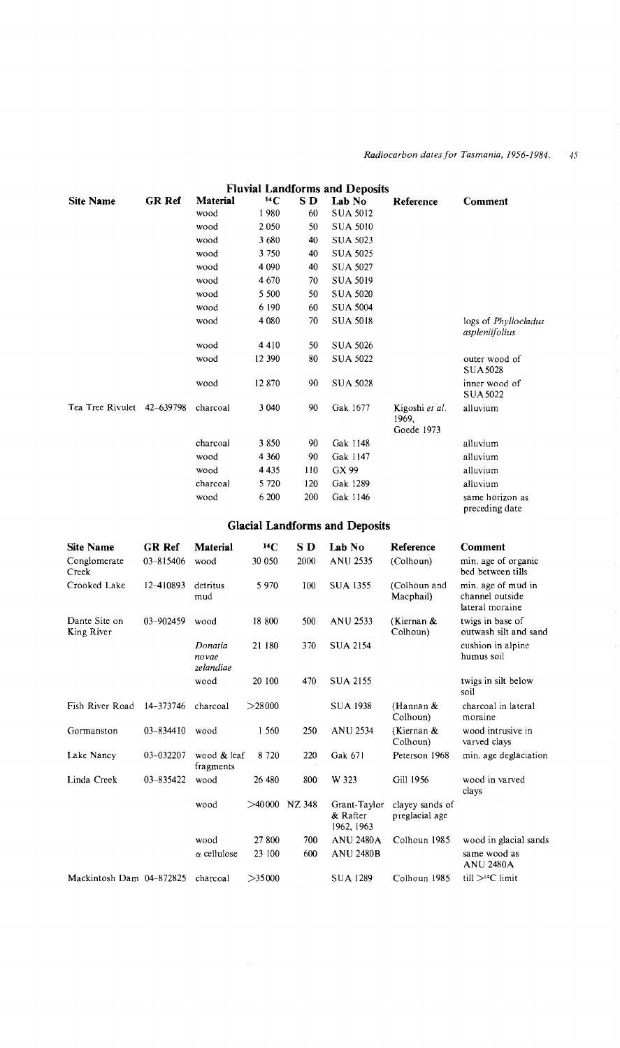#### *Radiocarbon dates/or Tasmania, 1956-1984.* 45

|                            |               |          |         |     | <b>Fluvial Landforms and Deposits</b> |                                       |                                        |
|----------------------------|---------------|----------|---------|-----|---------------------------------------|---------------------------------------|----------------------------------------|
| <b>Site Name</b>           | <b>GR Ref</b> | Material | 14C     | SD. | Lab No                                | Reference                             | Comment                                |
|                            |               | wood     | 1980    | 60  | <b>SUA 5012</b>                       |                                       |                                        |
|                            |               | wood     | 2 0 5 0 | 50  | <b>SUA 5010</b>                       |                                       |                                        |
|                            |               | wood     | 3680    | 40  | <b>SUA 5023</b>                       |                                       |                                        |
|                            |               | wood     | 3 7 5 0 | 40  | <b>SUA 5025</b>                       |                                       |                                        |
|                            |               | wood     | 4 0 9 0 | 40  | <b>SUA 5027</b>                       |                                       |                                        |
|                            |               | wood     | 4670    | 70  | <b>SUA 5019</b>                       |                                       |                                        |
|                            |               | wood     | 5 500   | 50  | <b>SUA 5020</b>                       |                                       |                                        |
|                            |               | wood     | 6 190   | 60  | <b>SUA 5004</b>                       |                                       |                                        |
|                            |               | wood     | 4 0 8 0 | 70  | <b>SUA 5018</b>                       |                                       | logs of Phyllocladus<br>aspleniifolius |
|                            |               | wood     | 4 4 1 0 | 50  | <b>SUA 5026</b>                       |                                       |                                        |
|                            |               | wood     | 12 390  | 80  | <b>SUA 5022</b>                       |                                       | outer wood of<br><b>SUA5028</b>        |
|                            |               | wood     | 12870   | 90  | <b>SUA 5028</b>                       |                                       | inner wood of<br><b>SUA 5022</b>       |
| Tea Tree Rivulet 42-639798 |               | charcoal | 3 040   | 90  | Gak 1677                              | Kigoshi et al.<br>1969,<br>Goede 1973 | alluvium                               |
|                            |               | charcoal | 3850    | 90  | Gak 1148                              |                                       | alluvium                               |
|                            |               | wood     | 4 3 6 0 | 90  | Gak 1147                              |                                       | alluvium                               |
|                            |               | wood     | 4 4 3 5 | 110 | GX 99                                 |                                       | alluvium                               |
|                            |               | charcoal | 5 7 2 0 | 120 | Gak 1289                              |                                       | alluvium                               |
|                            |               | wood     | 6 200   | 200 | Gak 1146                              |                                       | same horizon as<br>preceding date      |

## **Glacial Landforms and Deposits**

| <b>Site Name</b>            | GR Ref    | Material                      | $^{14}$ C       | S D  | Lab No                                 | Reference                         | Comment                                                  |
|-----------------------------|-----------|-------------------------------|-----------------|------|----------------------------------------|-----------------------------------|----------------------------------------------------------|
| Conglomerate<br>Creek       | 03-815406 | wood                          | 30 050          | 2000 | <b>ANU 2535</b>                        | (Colhoun)                         | min. age of organic<br>bed between tills                 |
| Crooked Lake                | 12-410893 | detritus<br>mud               | 5970            | 100  | <b>SUA 1355</b>                        | (Colhoun and<br>Macphail)         | min. age of mud in<br>channel outside<br>lateral moraine |
| Dante Site on<br>King River | 03-902459 | wood                          | 18 800          | 500  | <b>ANU 2533</b>                        | (Kiernan &<br>Colhoun)            | twigs in base of<br>outwash silt and sand                |
|                             |           | Donatia<br>novae<br>zelandiae | 21 180          | 370  | <b>SUA 2154</b>                        |                                   | cushion in alpine<br>humus soil                          |
|                             |           | wood                          | 20 100          | 470  | <b>SUA 2155</b>                        |                                   | twigs in silt below<br>soil                              |
| Fish River Road             | 14-373746 | charcoal                      | >28000          |      | <b>SUA 1938</b>                        | (Hannan &<br>Colhoun)             | charcoal in lateral<br>moraine                           |
| Gormanston                  | 03-834410 | wood                          | 1 560           | 250  | ANU 2534                               | (Kiernan &<br>Colhoun)            | wood intrusive in<br>varved clays                        |
| Lake Nancy                  | 03-032207 | wood & leaf<br>fragments      | 8 7 2 0         | 220  | Gak 671                                | Peterson 1968                     | min. age deglaciation                                    |
| Linda Creek                 | 03-835422 | wood                          | 26 480          | 800  | W 323                                  | Gill 1956                         | wood in varved<br>clays                                  |
|                             |           | wood                          | $>40000$ NZ 348 |      | Grant-Taylor<br>& Rafter<br>1962, 1963 | clayey sands of<br>preglacial age |                                                          |
|                             |           | wood                          | 27 800          | 700  | <b>ANU 2480A</b>                       | Colhoun 1985                      | wood in glacial sands                                    |
|                             |           | $\alpha$ cellulose            | 23 100          | 600  | <b>ANU 2480B</b>                       |                                   | same wood as<br><b>ANU 2480A</b>                         |
| Mackintosh Dam 04-872825    |           | charcoal                      | >35000          |      | <b>SUA 1289</b>                        | Colhoun 1985                      | $\text{ till} > 4C$ limit                                |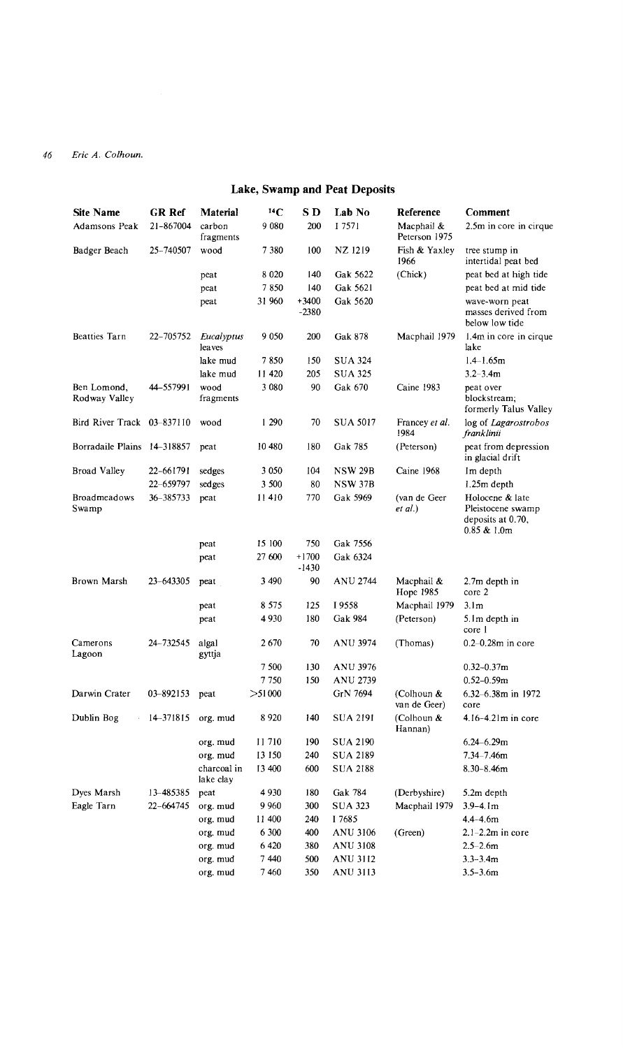## **Lake, Swamp and Peat Deposits**

| <b>Site Name</b>             | <b>GR Ref</b> | Material                 | $^{14}C$ | S D                | Lab No          | Reference                   | Comment                                                                     |
|------------------------------|---------------|--------------------------|----------|--------------------|-----------------|-----------------------------|-----------------------------------------------------------------------------|
| Adamsons Peak                | 21-867004     | carbon<br>fragments      | 9080     | 200                | I 7571          | Macphail &<br>Peterson 1975 | 2.5m in core in cirque                                                      |
| Badger Beach                 | 25-740507     | wood                     | 7380     | 100                | NZ 1219         | Fish & Yaxlev<br>1966       | tree stump in<br>intertidal peat bed                                        |
|                              |               | peat                     | 8 0 2 0  | 140                | Gak 5622        | (Chick)                     | peat bed at high tide                                                       |
|                              |               | peat                     | 7850     | 140                | Gak 5621        |                             | peat bed at mid tide                                                        |
|                              |               | peat                     | 31 960   | $+3400$<br>$-2380$ | Gak 5620        |                             | wave-worn peat<br>masses derived from<br>below low tide                     |
| <b>Beatties Tarn</b>         | 22-705752     | Eucalyptus<br>leaves     | 9 0 5 0  | 200                | <b>Gak 878</b>  | Macphail 1979               | 1.4m in core in cirque<br>lake                                              |
|                              |               | lake mud                 | 7850     | 150                | <b>SUA 324</b>  |                             | $1.4 - 1.65$ m                                                              |
|                              |               | lake mud                 | 11 420   | 205                | SUA 325         |                             | $3.2 - 3.4m$                                                                |
| Ben Lomond,<br>Rodway Valley | 44-557991     | wood<br>fragments        | 3 0 8 0  | 90                 | Gak 670         | Caine 1983                  | peat over<br>blockstream;<br>formerly Talus Valley                          |
| Bird River Track 03-837110   |               | wood                     | 1 290    | 70                 | <b>SUA 5017</b> | Francey et al.<br>1984      | log of Lagarostrobos<br>franklinii                                          |
| Borradaile Plains 14-318857  |               | peat                     | 10 480   | 180                | Gak 785         | (Peterson)                  | peat from depression<br>in glacial drift                                    |
| <b>Broad Valley</b>          | 22-661791     | sedges                   | 3 0 5 0  | 104                | <b>NSW 29B</b>  | Caine 1968                  | Im depth                                                                    |
|                              | 22-659797     | sedges                   | 3 500    | 80                 | <b>NSW 37B</b>  |                             | $1.25m$ depth                                                               |
| <b>Broadmeadows</b><br>Swamp | 36-385733     | peat                     | 11410    | 770                | Gak 5969        | (van de Geer<br>et al.)     | Holocene & late<br>Pleistocene swamp<br>deposits at 0.70.<br>$0.85 \& 1.0m$ |
|                              |               | peat                     | 15 100   | 750                | Gak 7556        |                             |                                                                             |
|                              |               | peat                     | 27 600   | $+1700$<br>-1430   | Gak 6324        |                             |                                                                             |
| Brown Marsh                  | 23-643305     | peat                     | 3 4 9 0  | 90                 | <b>ANU 2744</b> | Macphail &<br>Hope 1985     | 2.7m depth in<br>core 2                                                     |
|                              |               | peat                     | 8 5 7 5  | 125                | I 9558          | Macphail 1979               | 3.1 <sub>m</sub>                                                            |
|                              |               | peat                     | 4930     | 180                | Gak 984         | (Peterson)                  | 5.1m depth in<br>core 1                                                     |
| Camerons<br>Lagoon           | 24-732545     | algal<br>gyttja          | 2670     | 70                 | <b>ANU 3974</b> | (Thomas)                    | $0.2 - 0.28$ m in core                                                      |
|                              |               |                          | 7500     | 130                | <b>ANU 3976</b> |                             | $0.32 - 0.37$ m                                                             |
|                              |               |                          | 7750     | 150                | <b>ANU 2739</b> |                             | $0.52 - 0.59m$                                                              |
| Darwin Crater                | 03-892153     | peat                     | >51000   |                    | GrN 7694        | (Colhoun &<br>van de Geer)  | 6.32-6.38m in 1972<br>core                                                  |
| Dublin Bog                   | 14-371815     | org. mud                 | 8920     | 140                | <b>SUA 2191</b> | (Colhoun &<br>Hannan)       | $4.16 - 4.21$ m in core                                                     |
|                              |               | org. mud                 | 11710    | 190                | SUA 2190        |                             | $6.24 - 6.29$ m                                                             |
|                              |               | org. mud                 | 13 150   | 240                | <b>SUA 2189</b> |                             | $7.34 - 7.46$ m                                                             |
|                              |               | charcoal in<br>lake clay | 13 400   | 600                | <b>SUA 2188</b> |                             | $8.30 - 8.46$ m                                                             |
| Dyes Marsh                   | 13-485385     | peat                     | 4930     | 180                | Gak 784         | (Derbyshire)                | 5.2m depth                                                                  |
| Eagle Tarn                   | 22-664745     | org. mud                 | 9 9 6 0  | 300                | <b>SUA 323</b>  | Macphail 1979               | $3.9 - 4.1m$                                                                |
|                              |               | org. mud                 | 11 400   | 240                | I 7685          |                             | $4.4 - 4.6m$                                                                |
|                              |               | org. mud                 | 6 300    | 400                | ANU 3106        | (Green)                     | $2.1 - 2.2m$ in core                                                        |
|                              |               | org. mud                 | 6 4 20   | 380                | ANU 3108        |                             | $2.5 - 2.6m$                                                                |
|                              |               | org. mud                 | 7440     | 500                | ANU 3112        |                             | $3.3 - 3.4m$                                                                |
|                              |               | org. mud                 | 7460     | 350                | ANU 3113        |                             | $3.5 - 3.6m$                                                                |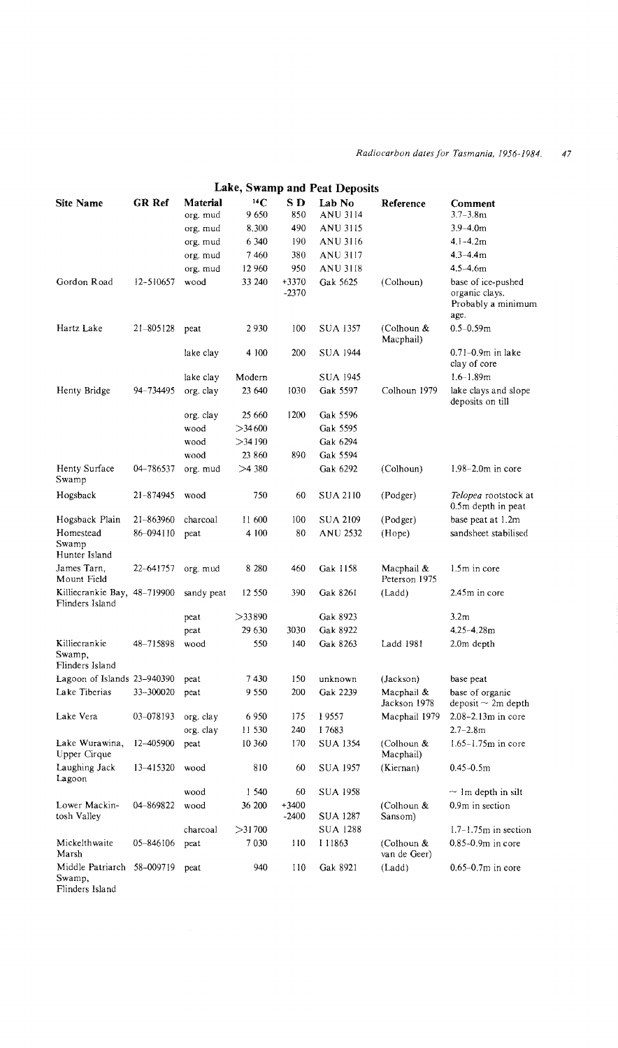|                                                         |               |            | Lake, Swamp and Peat Deposits |                  |                 |                             |                                                                    |  |  |  |  |  |  |  |
|---------------------------------------------------------|---------------|------------|-------------------------------|------------------|-----------------|-----------------------------|--------------------------------------------------------------------|--|--|--|--|--|--|--|
| <b>Site Name</b>                                        | <b>GR Ref</b> | Material   | $^{14}C$                      | S D              | Lab No          | Reference                   | Comment                                                            |  |  |  |  |  |  |  |
|                                                         |               | org. mud   | 9650                          | 850              | ANU 3114        |                             | $3.7 - 3.8$ m                                                      |  |  |  |  |  |  |  |
|                                                         |               | org. mud   | 8.300                         | 490              | ANU 3115        |                             | $3.9 - 4.0m$                                                       |  |  |  |  |  |  |  |
|                                                         |               | org. mud   | 6 3 4 0                       | 190              | ANU 3116        |                             | $4.1 - 4.2m$                                                       |  |  |  |  |  |  |  |
|                                                         |               | org. mud   | 7460                          | 380              | ANU 3117        |                             | $4.3 - 4.4m$                                                       |  |  |  |  |  |  |  |
|                                                         |               | org. mud   | 12 960                        | 950              | ANU 3118        |                             | 4.5–4.6m                                                           |  |  |  |  |  |  |  |
| Gordon Road                                             | 12-510657     | wood       | 33 240                        | +3370<br>$-2370$ | Gak 5625        | (Colhoun)                   | base of ice-pushed<br>organic clays.<br>Probably a minimum<br>age. |  |  |  |  |  |  |  |
| Hartz Lake                                              | $21 - 805128$ | peat       | 2930                          | 100              | <b>SUA 1357</b> | (Colhoun &<br>Macphail)     | $0.5 - 0.59m$                                                      |  |  |  |  |  |  |  |
|                                                         |               | lake clay  | 4 100                         | 200              | SUA 1944        |                             | $0.71 - 0.9m$ in lake<br>clay of core                              |  |  |  |  |  |  |  |
|                                                         |               | lake clay  | Modern                        |                  | <b>SUA 1945</b> |                             | $1.6 - 1.89m$                                                      |  |  |  |  |  |  |  |
| Henty Bridge                                            | 94-734495     | org. clay  | 23 640                        | 1030             | Gak 5597        | Colhoun 1979                | lake clays and slope<br>deposits on till                           |  |  |  |  |  |  |  |
|                                                         |               | org. clay  | 25 660                        | 1200             | Gak 5596        |                             |                                                                    |  |  |  |  |  |  |  |
|                                                         |               | wood       | >34600                        |                  | Gak 5595        |                             |                                                                    |  |  |  |  |  |  |  |
|                                                         |               | wood       | $>$ 34 190                    |                  | Gak 6294        |                             |                                                                    |  |  |  |  |  |  |  |
|                                                         |               | wood       | 23 860                        | 890              | Gak 5594        |                             |                                                                    |  |  |  |  |  |  |  |
| Henty Surface<br>Swamp                                  | 04-786537     | org. mud   | >4380                         |                  | Gak 6292        | (Colhoun)                   | $1.98 - 2.0m$ in core                                              |  |  |  |  |  |  |  |
| Hogsback                                                | 21-874945     | wood       | 750                           | 60               | <b>SUA 2110</b> | (Podger)                    | Telopea rootstock at<br>0.5m depth in peat                         |  |  |  |  |  |  |  |
| Hogsback Plain                                          | 21-863960     | charcoal   | 11 600                        | 100              | SUA 2109        | (Podger)                    | base peat at 1.2m                                                  |  |  |  |  |  |  |  |
| Homestead<br>Swamp<br>Hunter Island                     | 86-094110     | peat       | 4 100                         | 80               | ANU 2532        | (Hope)                      | sandsheet stabilised                                               |  |  |  |  |  |  |  |
| James Tarn,<br>Mount Field                              | 22-641757     | org. mud   | 8 2 8 0                       | 460              | Gak 1158        | Macphail &<br>Peterson 1975 | 1.5m in core                                                       |  |  |  |  |  |  |  |
| Killiecrankie Bay, 48–719900<br>Flinders Island         |               | sandy peat | 12 550                        | 390              | Gak 8261        | (Ladd)                      | 2.45m in core                                                      |  |  |  |  |  |  |  |
|                                                         |               | peat       | >33890                        |                  | Gak 8923        |                             | 3.2 <sub>m</sub>                                                   |  |  |  |  |  |  |  |
|                                                         |               | peat       | 29 630                        | 3030             | Gak 8922        |                             | 4.25-4.28m                                                         |  |  |  |  |  |  |  |
| Killiecrankie<br>Swamp,<br>Flinders Island              | 48-715898     | wood       | 550                           | 140              | Gak 8263        | Ladd 1981                   | 2.0m depth                                                         |  |  |  |  |  |  |  |
| Lagoon of Islands 23-940390                             |               | peat       | 7430                          | 150              | unknown         | (Jackson)                   | base peat                                                          |  |  |  |  |  |  |  |
| Lake Tiberias                                           | 33-300020     | peat       | 9 550                         | 200              | Gak 2239        | Macphail &<br>Jackson 1978  | base of organic<br>$deposit \sim 2m$ depth                         |  |  |  |  |  |  |  |
| Lake Vera                                               | 03-078193     | org. clay  | 6950                          | 175              | I 9557          | Macphail 1979               | 2.08-2.13m in core                                                 |  |  |  |  |  |  |  |
|                                                         |               | org. clay  | 11 530                        | 240              | I 7683          |                             | $2.7 - 2.8$ m                                                      |  |  |  |  |  |  |  |
| Lake Wurawina,<br>Upper Cirque                          | 12-405900     | peat       | 10 360                        | 170              | SUA 1354        | (Colhoun &<br>Macphail)     | $1.65 - 1.75m$ in core                                             |  |  |  |  |  |  |  |
| Laughing Jack<br>Lagoon                                 | 13-415320     | wood       | 810                           | 60               | <b>SUA 1957</b> | (Kiernan)                   | $0.45 - 0.5m$                                                      |  |  |  |  |  |  |  |
|                                                         |               | wood       | 1 540                         | 60               | <b>SUA 1958</b> |                             | $\sim$ 1m depth in silt                                            |  |  |  |  |  |  |  |
| Lower Mackin-<br>tosh Valley                            | 04-869822     | wood       | 36 200                        | +3400<br>$-2400$ | SUA 1287        | (Colhoun &<br>Sansom)       | 0.9m in section                                                    |  |  |  |  |  |  |  |
|                                                         |               | charcoal   | >31700                        |                  | <b>SUA 1288</b> |                             | $1.7-1.75m$ in section                                             |  |  |  |  |  |  |  |
| Mickelthwaite<br>Marsh                                  | 05-846106     | peat       | 7030                          | 110              | I 11863         | (Colhoun &<br>van de Geer)  | 0.85-0.9m in core                                                  |  |  |  |  |  |  |  |
| Middle Patriarch 58-009719<br>Swamp,<br>Flinders Island |               | peat       | 940                           | 110              | Gak 8921        | (Ladd)                      | $0.65 - 0.7m$ in core                                              |  |  |  |  |  |  |  |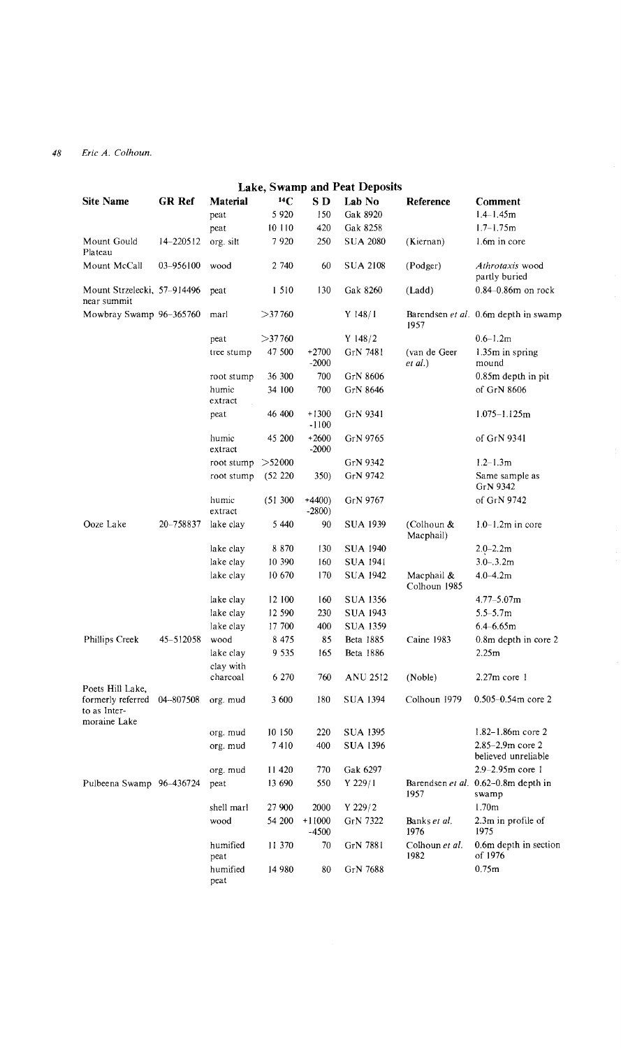|                                                   | Lake, Swamp and Peat Deposits |                  |          |                    |                 |                            |                                              |
|---------------------------------------------------|-------------------------------|------------------|----------|--------------------|-----------------|----------------------------|----------------------------------------------|
| <b>Site Name</b>                                  | <b>GR Ref</b>                 | Material         | $^{14}C$ | S D                | Lab No          | Reference                  | Comment                                      |
|                                                   |                               | peat             | 5 9 20   | 150                | Gak 8920        |                            | $1.4 - 1.45m$                                |
|                                                   |                               | peat             | 10 110   | 420                | Gak 8258        |                            | $1.7 - 1.75m$                                |
| Mount Gould<br>Plateau                            | 14-220512                     | org. silt        | 7920     | 250                | <b>SUA 2080</b> | (Kiernan)                  | 1.6m in core                                 |
| Mount McCall                                      | 03-956100                     | wood             | 2 740    | 60                 | <b>SUA 2108</b> | (Podger)                   | Athrotaxis wood<br>partly buried             |
| Mount Strzelecki, 57–914496<br>near summit        |                               | peat             | 1 510    | 130                | Gak 8260        | (Ladd)                     | $0.84 - 0.86$ m on rock                      |
| Mowbray Swamp 96-365760                           |                               | marl             | >37760   |                    | $Y$ 148/1       | 1957                       | Barendsen et al. 0.6m depth in swamp         |
|                                                   |                               | peat             | >37760   |                    | Y $148/2$       |                            | $0.6 - 1.2m$                                 |
|                                                   |                               | tree stump       | 47 500   | $+2700$<br>$-2000$ | GrN 7481        | (van de Geer<br>et al.)    | 1.35m in spring<br>mound                     |
|                                                   |                               | root stump       | 36 300   | 700                | GrN 8606        |                            | 0.85m depth in pit                           |
|                                                   |                               | humic<br>extract | 34 100   | 700                | GrN 8646        |                            | of GrN 8606                                  |
|                                                   |                               | peat             | 46 400   | $+1300$<br>$-1100$ | GrN 9341        |                            | $1.075 - 1.125$ m                            |
|                                                   |                               | humic<br>extract | 45 200   | $+2600$<br>$-2000$ | GrN 9765        |                            | of GrN 9341                                  |
|                                                   |                               | root stump       | >52000   |                    | GrN 9342        |                            | $1.2 - 1.3m$                                 |
|                                                   |                               | root stump       | (52 220) | 350)               | GrN 9742        |                            | Same sample as<br>GrN 9342                   |
|                                                   |                               | humic<br>extract | (51300)  | $+4400$<br>$-2800$ | GrN 9767        |                            | of GrN 9742                                  |
| Ooze Lake                                         | 20-758837                     | lake clay        | 5 440    | 90                 | <b>SUA 1939</b> | (Colhoun &<br>Macphail)    | $1.0-1.2m$ in core                           |
|                                                   |                               | lake clay        | 8 8 7 0  | 130                | <b>SUA 1940</b> |                            | $2.0 - 2.2m$                                 |
|                                                   |                               | lake clay        | 10 390   | 160                | SUA 1941        |                            | $3.0 - 3.2m$                                 |
|                                                   |                               | lake clay        | 10 670   | 170                | SUA 1942        | Macphail &<br>Colhoun 1985 | $4.0 - 4.2m$                                 |
|                                                   |                               | lake clay        | 12 100   | 160                | SUA 1356        |                            | $4.77 - 5.07$ m                              |
|                                                   |                               | lake clay        | 12 590   | 230                | SUA 1943        |                            | $5.5 - 5.7m$                                 |
|                                                   |                               | lake clay        | 17 700   | 400                | SUA 1359        |                            | $6.4 - 6.65m$                                |
| Phillips Creek                                    | 45-512058                     | wood             | 8 4 7 5  | 85                 | Beta 1885       | Caine 1983                 | 0.8m depth in core 2                         |
|                                                   |                               | lake clay        | 9 535    | 165                | Beta 1886       |                            | 2.25m                                        |
|                                                   |                               | clay with        |          |                    |                 |                            |                                              |
| Poets Hill Lake,                                  |                               | charcoal         | 6 270    | 760                | ANU 2512        | (Noble)                    | $2.27m$ core 1                               |
| formerly referred<br>to as Inter-<br>moraine Lake | 04-807508                     | org. mud         | 3 600    | 180                | SUA 1394        | Colhoun 1979               | $0.505 - 0.54$ m core 2                      |
|                                                   |                               | org. mud         | 10 150   | 220                | SUA 1395        |                            | $1.82 - 1.86m$ core 2                        |
|                                                   |                               | org. mud         | 7410     | 400                | <b>SUA 1396</b> |                            | $2.85 - 2.9m$ core 2<br>believed unreliable  |
|                                                   |                               | org. mud         | 11 420   | 770                | Gak 6297        |                            | 2.9-2.95m core 1                             |
| Pulbeena Swamp 96-436724                          |                               | peat             | 13 690   | 550                | Y 229/1         | 1957                       | Barendsen et al. 0.62-0.8m depth in<br>swamp |
|                                                   |                               | shell marl       | 27 900   | 2000               | $Y$ 229/2       |                            | 1.70 <sub>m</sub>                            |
|                                                   |                               | wood             | 54 200   | $+11000$<br>-4500  | GrN 7322        | Banks et al.<br>1976       | 2.3m in profile of<br>1975                   |
|                                                   |                               | humified<br>peat | 11 370   | 70                 | GrN 7881        | Colhoun et al.<br>1982     | 0.6m depth in section<br>of 1976             |
|                                                   |                               | humified<br>peat | 14 980   | 80                 | GrN 7688        |                            | 0.75m                                        |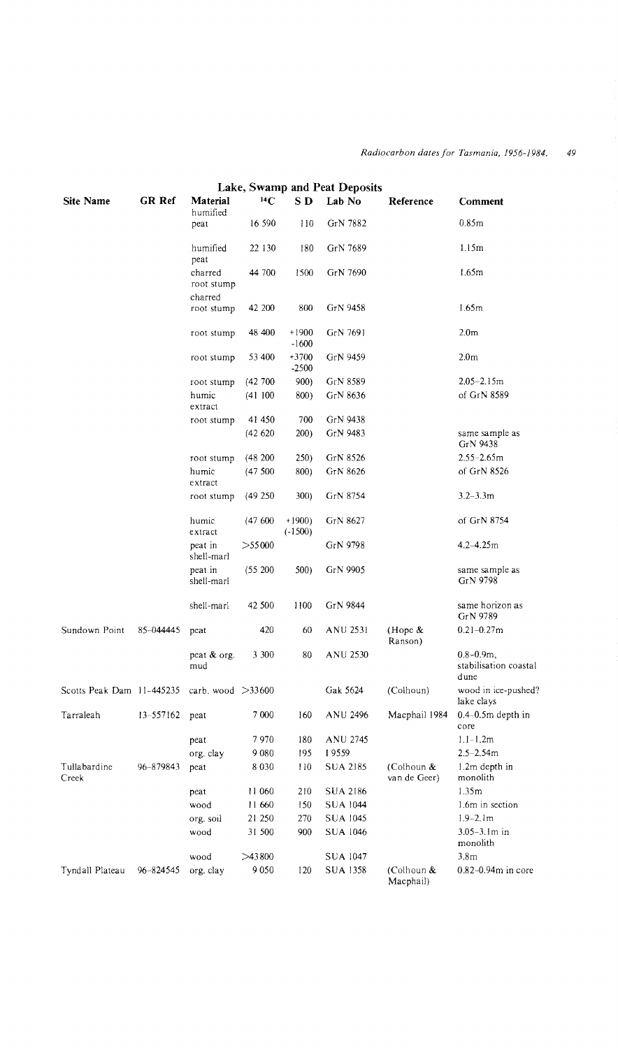|                           |           |                       |          |                      | Lake, Swamp and Peat Deposits |                            |                                                 |
|---------------------------|-----------|-----------------------|----------|----------------------|-------------------------------|----------------------------|-------------------------------------------------|
| <b>Site Name</b>          | GR Ref    | Material<br>humified  | $^{14}C$ | SD <sub>D</sub>      | Lab No                        | Reference                  | Comment                                         |
|                           |           | peat                  | 16 590   | 110                  | GrN 7882                      |                            | 0.85m                                           |
|                           |           | humified<br>peat      | 22 130   | 180                  | GrN 7689                      |                            | 1.15m                                           |
|                           |           | charred<br>root stump | 44 700   | 1500                 | GrN 7690                      |                            | 1.65m                                           |
|                           |           | charred<br>root stump | 42 200   | 800                  | GrN 9458                      |                            | 1.65m                                           |
|                           |           | root stump            | 48 400   | $+1900$<br>$-1600$   | GrN 7691                      |                            | 2.0 <sub>m</sub>                                |
|                           |           | root stump            | 53 400   | $+3700$<br>$-2500$   | GrN 9459                      |                            | 2.0 <sub>m</sub>                                |
|                           |           | root stump            | (42700)  | 900)                 | GrN 8589                      |                            | $2.05 - 2.15m$                                  |
|                           |           | humic<br>extract      | (41100)  | 800)                 | GrN 8636                      |                            | of GrN 8589                                     |
|                           |           | root stump            | 41 450   | 700                  | GrN 9438                      |                            |                                                 |
|                           |           |                       | (42620)  | 200)                 | GrN 9483                      |                            | same sample as<br>GrN 9438                      |
|                           |           | root stump            | (48200)  | 250)                 | GrN 8526                      |                            | $2.55 - 2.65m$                                  |
|                           |           | humic<br>extract      | (47500)  | 800)                 | GrN 8626                      |                            | of GrN 8526                                     |
|                           |           | root stump            | (49250)  | 300)                 | GrN 8754                      |                            | $3.2 - 3.3m$                                    |
|                           |           | humic<br>extract      | (47600)  | $+1900$<br>$(-1500)$ | GrN 8627                      |                            | of GrN 8754                                     |
|                           |           | peat in<br>shell-marl | >55000   |                      | GrN 9798                      |                            | $4.2 - 4.25m$                                   |
|                           |           | peat in<br>shell-marl | (55200)  | 500)                 | GrN 9905                      |                            | same sample as<br>GrN 9798                      |
|                           |           | shell-marl            | 42 500   | 1100                 | GrN 9844                      |                            | same horizon as<br>GrN 9789                     |
| Sundown Point             | 85-044445 | peat                  | 420      | 60                   | ANU 2531                      | (Hope $\&$<br>Ranson)      | $0.21 - 0.27$ m                                 |
|                           |           | peat & org.<br>mud    | 3 300    | 80                   | ANU 2530                      |                            | $0.8 - 0.9m$ ,<br>stabilisation coastal<br>dune |
| Scotts Peak Dam 11-445235 |           | carb. wood $>33600$   |          |                      | Gak 5624                      | (Colhoun)                  | wood in ice-pushed?<br>lake clays               |
| Tarraleah                 | 13-557162 | peat                  | 7 000    | 160                  | ANU 2496                      | Macphail 1984              | $0.4 - 0.5m$ depth in<br>core                   |
|                           |           | peat                  | 7 970    | 180                  | ANU 2745                      |                            | $1.1 - 1.2m$                                    |
|                           |           | org. clay             | 9080     | 195                  | 19559                         |                            | $2.5 - 2.54m$                                   |
| Tullabardine<br>Creek     | 96-879843 | peat                  | 8 0 3 0  | 110                  | <b>SUA 2185</b>               | (Colhoun &<br>van de Geer) | 1.2m depth in<br>monolith                       |
|                           |           | peat                  | 11 060   | 210                  | SUA 2186                      |                            | 1.35m                                           |
|                           |           | wood                  | 11 660   | 150                  | <b>SUA 1044</b>               |                            | 1.6m in section                                 |
|                           |           | org. soil             | 21 250   | 270                  | <b>SUA 1045</b>               |                            | $1.9 - 2.1m$                                    |
|                           |           | wood                  | 31 500   | 900                  | <b>SUA 1046</b>               |                            | $3.05 - 3.1m$ in<br>monolith                    |
|                           |           | wood                  | >43800   |                      | SUA 1047                      |                            | 3.8 <sub>m</sub>                                |
| Tyndall Plateau           | 96-824545 | org. clay             | 9050     | 120                  | <b>SUA 1358</b>               | (Colhoun &<br>Macphail)    | $0.82 - 0.94m$ in core                          |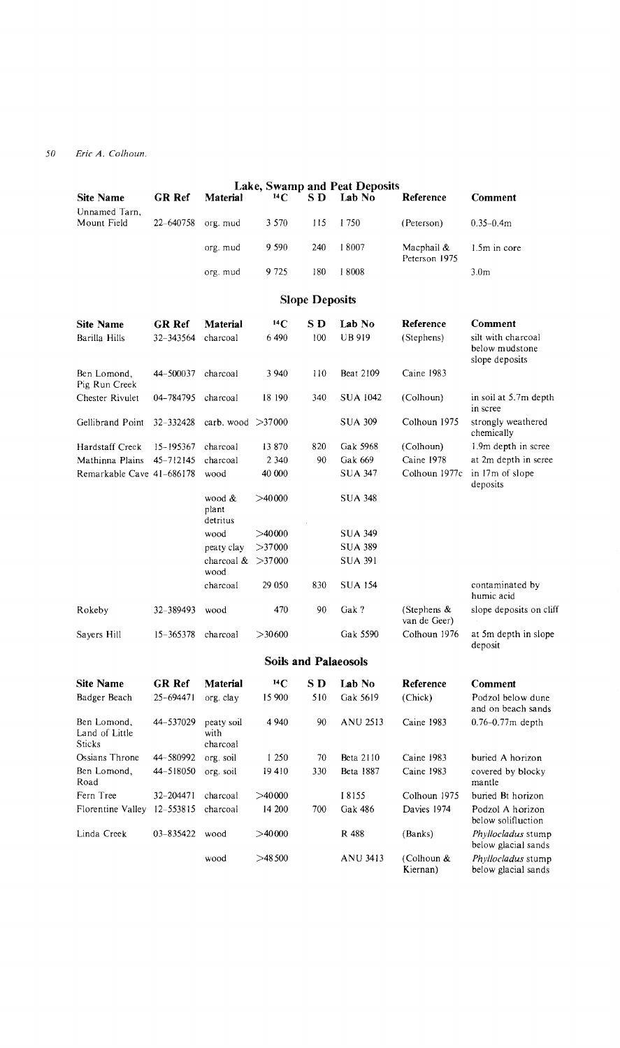|                                         |               |                                |           |                             | Lake, Swamp and Peat Deposits |                                |                                                        |
|-----------------------------------------|---------------|--------------------------------|-----------|-----------------------------|-------------------------------|--------------------------------|--------------------------------------------------------|
| Site Name<br>Unnamed Tarn,              | GR Ref        | Material                       | $^{14}C$  | S D                         | Lab No                        | Reference                      | Comment                                                |
| Mount Field                             | 22-640758     | org. mud                       | 3 5 7 0   | 115                         | I 750                         | (Peterson)                     | $0.35 - 0.4m$                                          |
|                                         |               | org. mud                       | 9 5 9 0   | 240                         | 18007                         | Macphail &<br>Peterson 1975    | 1.5m in core                                           |
|                                         |               | org. mud                       | 9 7 2 5   | 180                         | 18008                         |                                | 3.0 <sub>m</sub>                                       |
|                                         |               |                                |           | <b>Slope Deposits</b>       |                               |                                |                                                        |
| <b>Site Name</b>                        | GR Ref        | Material                       | $^{14}C$  | S D                         | Lab No                        | Reference                      | <b>Comment</b>                                         |
| Barilla Hills                           | 32-343564     | charcoal                       | 6490      | 100                         | <b>UB919</b>                  | (Stephens)                     | silt with charcoal<br>below mudstone<br>slope deposits |
| Ben Lomond,<br>Pig Run Creek            | 44-500037     | charcoal                       | 3 940     | 110                         | Beat 2109                     | Caine 1983                     |                                                        |
| Chester Rivulet                         | 04-784795     | charcoal                       | 18 190    | 340                         | <b>SUA 1042</b>               | (Colhoun)                      | in soil at 5.7m depth<br>in scree                      |
| Gellibrand Point                        | 32-332428     | carb. wood $>37000$            |           |                             | <b>SUA 309</b>                | Colhoun 1975                   | strongly weathered<br>chemically                       |
| Hardstaff Creek                         | 15-195367     | charcoal                       | 13 870    | 820                         | Gak 5968                      | (Colhoun)                      | 1.9m depth in scree                                    |
| Mathinna Plains                         | 45-712145     | charcoal                       | 2 3 4 0   | 90                          | Gak 669                       | Caine 1978                     | at 2m depth in scree                                   |
| Remarkable Cave 41-686178               |               | wood                           | 40 000    |                             | <b>SUA 347</b>                | Colhoun 1977c                  | in 17m of slope<br>deposits                            |
|                                         |               | wood &<br>plant<br>detritus    | >40000    |                             | SUA 348                       |                                |                                                        |
|                                         |               | wood                           | >40000    |                             | <b>SUA 349</b>                |                                |                                                        |
|                                         |               | peaty clay                     | $>$ 37000 |                             | SUA 389                       |                                |                                                        |
|                                         |               | charcoal $>37000$<br>wood      |           |                             | SUA 391                       |                                |                                                        |
|                                         |               | charcoal                       | 29 0 50   | 830                         | <b>SUA 154</b>                |                                | contaminated by<br>humic acid                          |
| Rokeby                                  | 32-389493     | wood                           | 470       | 90                          | Gak?                          | (Stephens $\&$<br>van de Geer) | slope deposits on cliff                                |
| Sayers Hill                             | $15 - 365378$ | charcoal                       | >30600    |                             | Gak 5590                      | Colhoun 1976                   | at 5m depth in slope<br>deposit                        |
|                                         |               |                                |           | <b>Soils and Palaeosols</b> |                               |                                |                                                        |
| <b>Site Name</b>                        | <b>GR</b> Ref | Material                       | $^{14}C$  | S D                         | Lab No                        | Reference                      | Comment                                                |
| Badger Beach                            | 25-694471     | org. clay                      | 15 900    | 510                         | Gak 5619                      | (Chick)                        | Podzol below dune<br>and on beach sands                |
| Ben Lomond.<br>Land of Little<br>Sticks | 44-537029     | peaty soil<br>with<br>charcoal | 4 940     | 90                          | <b>ANU 2513</b>               | Caine 1983                     | $0.76 - 0.77m$ depth                                   |
| Ossians Throne                          | 44–580992     | org. soil                      | 1 250     | 70                          | Beta 2110                     | Caine 1983                     | buried A horizon                                       |
| Ben Lomond,<br>Road                     | 44-518050     | org. soil                      | 19410     | 330                         | Beta 1887                     | Caine 1983                     | covered by blocky<br>mantle                            |
| Fern Tree                               | 32-204471     | charcoal                       | >40000    |                             | 18155                         | Colhoun 1975                   | buried Bt horizon                                      |
| Florentine Valley                       | $12 - 553815$ | charcoal                       | 14 200    | 700                         | Gak 486                       | Davies 1974                    | Podzol A horizon<br>below solifluction                 |
| Linda Creek                             | 03-835422     | wood                           | >40000    |                             | R 488                         | (Banks)                        | Phyllocladus stump<br>below glacial sands              |
|                                         |               | wood                           | >48500    |                             | ANU 3413                      | (Colhoun &<br>Kiernan)         | Phyllocladus stump<br>below glacial sands              |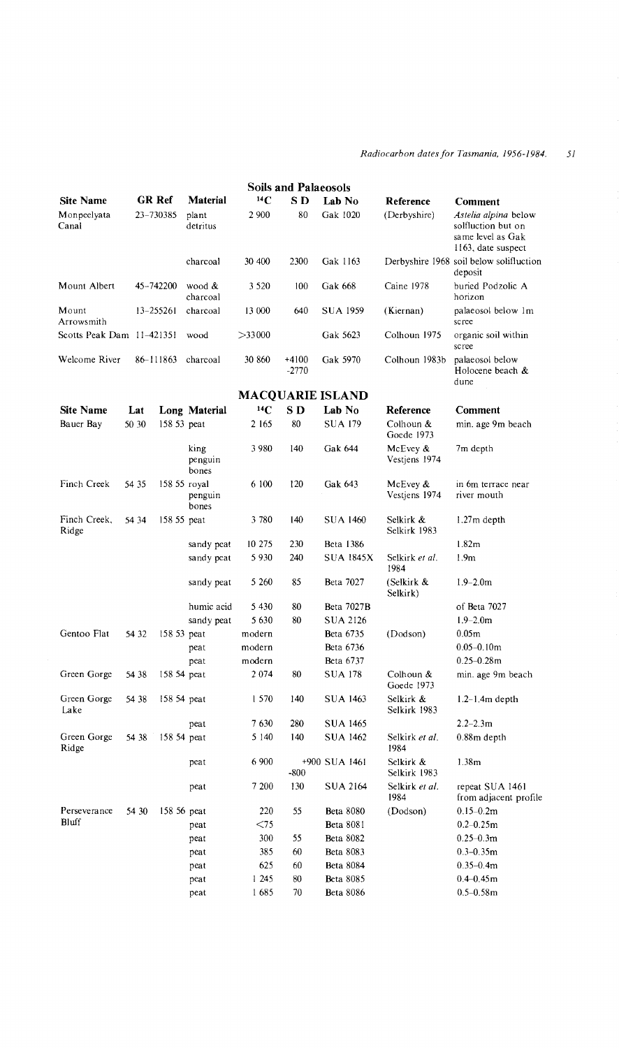#### *Radiocarbon dates for Tasmania, 1956-1984.* 51

|                           | <b>Soils and Palaeosols</b> |               |                          |           |                    |                         |                              |                                                                                       |
|---------------------------|-----------------------------|---------------|--------------------------|-----------|--------------------|-------------------------|------------------------------|---------------------------------------------------------------------------------------|
| <b>Site Name</b>          |                             | GR Ref        | Material                 | $^{14}$ C | S D                | Lab No                  | Reference                    | Comment                                                                               |
| Monpeelyata<br>Canal      |                             | 23-730385     | plant<br>detritus        | 2 9 0 0   | 80                 | Gak 1020                | (Derbyshire)                 | Astelia alpina below<br>solfluction but on<br>same level as Gak<br>1163, date suspect |
|                           |                             |               | charcoal                 | 30 400    | 2300               | Gak 1163                |                              | Derbyshire 1968 soil below solifluction<br>deposit                                    |
| Mount Albert              |                             | 45-742200     | wood &<br>charcoal       | 3 5 2 0   | 100                | Gak 668                 | Caine 1978                   | buried Podzolic A<br>horizon                                                          |
| Mount<br>Arrowsmith       |                             | $13 - 255261$ | charcoal                 | 13 000    | 640                | SUA 1959                | (Kiernan)                    | palaeosol below 1m<br>scree                                                           |
| Scotts Peak Dam 11-421351 |                             |               | wood                     | >33000    |                    | Gak 5623                | Colhoun 1975                 | organic soil within<br>scree                                                          |
| Welcome River             |                             | 86-111863     | charcoal                 | 30 860    | $+4100$<br>$-2770$ | Gak 5970                | Colhoun 1983b                | palaeosol below<br>Holocene beach &<br>dune                                           |
|                           |                             |               |                          |           |                    | <b>MACQUARIE ISLAND</b> |                              |                                                                                       |
| <b>Site Name</b>          | Lat                         |               | Long Material            | 14C       | S D                | Lab No                  | Reference                    | Comment                                                                               |
| Bauer Bay                 | 50 30                       | 158 53 peat   |                          | 2 165     | 80                 | <b>SUA 179</b>          | Colhoun &<br>Goede 1973      | min. age 9m beach                                                                     |
|                           |                             |               | king<br>penguin<br>bones | 3980      | 140                | Gak 644                 | McEvey $\&$<br>Vestjens 1974 | 7m depth                                                                              |
| Finch Creek               | 54 35                       | 158 55 royal  | penguin<br>bones         | 6 100     | 120                | Gak 643                 | McEvey $\&$<br>Vestjens 1974 | in 6m terrace near<br>river mouth                                                     |
| Finch Creek,<br>Ridge     | 54 34                       | 158 55 peat   |                          | 3780      | 140                | <b>SUA 1460</b>         | Selkirk &<br>Selkirk 1983    | $1.27m$ depth                                                                         |
|                           |                             |               | sandy peat               | 10 275    | 230                | <b>Beta 1386</b>        |                              | 1.82 <sub>m</sub>                                                                     |
|                           |                             |               | sandy peat               | 5930      | 240                | SUA 1845X               | Selkirk et al.<br>1984       | 1.9 <sub>m</sub>                                                                      |
|                           |                             |               | sandy peat               | 5 260     | 85                 | Beta 7027               | (Selkirk &<br>Selkirk)       | $1.9 - 2.0m$                                                                          |
|                           |                             |               | humic acid               | 5430      | 80                 | Beta 7027B              |                              | of Beta 7027                                                                          |
|                           |                             |               | sandy peat               | 5630      | 80                 | SUA 2126                |                              | $1.9 - 2.0m$                                                                          |
| Gentoo Flat               | 54 32                       | 158 53 peat   |                          | modern    |                    | <b>Beta 6735</b>        | (Dodson)                     | 0.05m                                                                                 |
|                           |                             |               | peat                     | modern    |                    | Beta 6736               |                              | $0.05 - 0.10$ m                                                                       |
|                           |                             |               | peat                     | modern    |                    | Beta 6737               |                              | $0.25 - 0.28$ m                                                                       |
| Green Gorge               | 54 38                       | 158 54 peat   |                          | 2074      | 80                 | SUA 178                 | Colhoun &<br>Goede 1973      | min. age 9m beach                                                                     |
| Green Gorge<br>Lake       | 54 38                       | 158 54 peat   |                          | 1 570     | 140                | SUA 1463                | Selkirk &<br>Selkirk 1983    | $1.2-1.4m$ depth                                                                      |
|                           |                             |               | peat                     | 7 630     | 280                | SUA 1465                |                              | $2.2 - 2.3m$                                                                          |
| Green Gorge<br>Ridge      | 54 38                       | 158 54 peat   |                          | 5 140     | 140                | SUA 1462                | Selkirk et al.<br>1984       | 0.88m depth                                                                           |
|                           |                             |               | peat                     | 6 900     | -800               | +900 SUA 1461           | Selkirk &<br>Selkirk 1983    | 1.38 <sub>m</sub>                                                                     |
|                           |                             |               | peat                     | 7 200     | 130                | SUA 2164                | Selkirk et al.<br>1984       | repeat SUA 1461<br>from adjacent profile                                              |
| Perseverance              | 54 30                       | 158 56 peat   |                          | 220       | 55                 | <b>Beta 8080</b>        | (Dodson)                     | $0.15 - 0.2m$                                                                         |
| Bluff                     |                             |               | peat                     | $<$ 75    |                    | <b>Beta 8081</b>        |                              | $0.2 - 0.25m$                                                                         |
|                           |                             |               | peat                     | 300       | 55                 | Beta 8082               |                              | $0.25 - 0.3m$                                                                         |
|                           |                             |               | peat                     | 385       | 60                 | Beta 8083               |                              | $0.3 - 0.35m$                                                                         |
|                           |                             |               | peat                     | 625       | 60                 | <b>Beta 8084</b>        |                              | $0.35 - 0.4m$                                                                         |
|                           |                             |               | peat                     | 1 245     | 80                 | <b>Beta 8085</b>        |                              | $0.4 - 0.45$ m                                                                        |
|                           |                             |               | peat                     | 1685      | 70                 | <b>Beta 8086</b>        |                              | $0.5 - 0.58$ m                                                                        |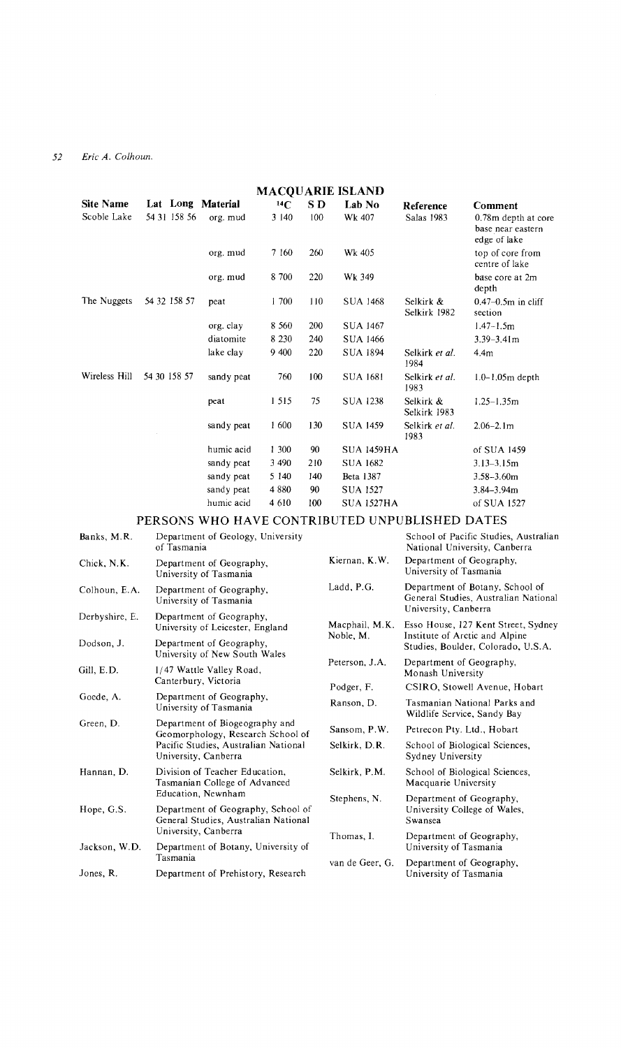| <b>MACOUARIE ISLAND</b> |                   |            |          |     |                   |                           |                                                          |
|-------------------------|-------------------|------------|----------|-----|-------------------|---------------------------|----------------------------------------------------------|
| <b>Site Name</b>        | Lat Long Material |            | $^{14}C$ | S D | Lab No            | Reference                 | Comment                                                  |
| Scoble Lake             | 54 31 158 56      | org. mud   | 3 140    | 100 | Wk 407            | Salas 1983                | 0.78m depth at core<br>base near eastern<br>edge of lake |
|                         |                   | org. mud   | 7 160    | 260 | Wk 405            |                           | top of core from<br>centre of lake                       |
|                         |                   | org. mud   | 8 700    | 220 | Wk 349            |                           | base core at 2m<br>depth                                 |
| The Nuggets             | 54 32 158 57      | peat       | 1700     | 110 | <b>SUA 1468</b>   | Selkirk &<br>Selkirk 1982 | $0.47 - 0.5$ m in cliff<br>section                       |
|                         |                   | org. clay  | 8 5 6 0  | 200 | <b>SUA 1467</b>   |                           | $1.47 - 1.5m$                                            |
|                         |                   | diatomite  | 8 2 3 0  | 240 | <b>SUA 1466</b>   |                           | $3.39 - 3.41$ m                                          |
|                         |                   | lake clay  | 9 400    | 220 | <b>SUA 1894</b>   | Selkirk et al.<br>1984    | 4.4m                                                     |
| Wireless Hill           | 54 30 158 57      | sandy peat | 760      | 100 | <b>SUA 1681</b>   | Selkirk et al.<br>1983    | $1.0 - 1.05m$ depth                                      |
|                         |                   | peat       | 1 5 1 5  | 75  | <b>SUA 1238</b>   | Selkirk &<br>Selkirk 1983 | $1.25 - 1.35m$                                           |
|                         |                   | sandy peat | 1600     | 130 | <b>SUA 1459</b>   | Selkirk et al.<br>1983    | $2.06 - 2.1$ m                                           |
|                         |                   | humic acid | 1 300    | 90  | <b>SUA 1459HA</b> |                           | of SUA 1459                                              |
|                         |                   | sandy peat | 3 4 9 0  | 210 | <b>SUA 1682</b>   |                           | $3.13 - 3.15m$                                           |
|                         |                   | sandy peat | 5 140    | 140 | Beta 1387         |                           | $3.58 - 3.60m$                                           |
|                         |                   | sandy peat | 4880     | 90  | SUA 1527          |                           | $3.84 - 3.94m$                                           |
|                         |                   | humic acid | 4 610    | 100 | SUA 1527HA        |                           | of SUA 1527                                              |

## PERSONS WHO HAVE CONTRIBUTED UNPUBLISHED DATES

| Banks, M.R.                                     | Department of Geology, University<br>of Tasmania                           |                 | School of Pacific Studies, Australian<br>National University, Canberra                                      |  |
|-------------------------------------------------|----------------------------------------------------------------------------|-----------------|-------------------------------------------------------------------------------------------------------------|--|
| Chick, N.K.                                     | Department of Geography,<br>University of Tasmania                         | Kiernan, K.W.   | Department of Geography,<br>University of Tasmania                                                          |  |
| Colhoun, E.A.                                   | Department of Geography,<br>University of Tasmania                         | Ladd, P.G.      | Department of Botany, School of<br>General Studies, Australian National<br>University, Canberra             |  |
| Derbyshire, E.                                  | Department of Geography,<br>University of Leicester, England               | Macphail, M.K.  | Esso House, 127 Kent Street, Sydney<br>Institute of Arctic and Alpine<br>Studies, Boulder, Colorado, U.S.A. |  |
| Dodson, J.                                      | Department of Geography,<br>University of New South Wales                  | Noble, M.       |                                                                                                             |  |
| Gill, E.D.                                      | 1/47 Wattle Valley Road,                                                   | Peterson, J.A.  | Department of Geography,<br>Monash University                                                               |  |
|                                                 | Canterbury, Victoria                                                       | Podger, F.      | CSIRO, Stowell Avenue, Hobart                                                                               |  |
| Goede, A.                                       | Department of Geography,<br>University of Tasmania                         | Ranson, D.      | Tasmanian National Parks and<br>Wildlife Service, Sandy Bay                                                 |  |
| Green, D.                                       | Department of Biogeography and<br>Geomorphology, Research School of        | Sansom, P.W.    | Petrecon Pty. Ltd., Hobart                                                                                  |  |
|                                                 | Pacific Studies, Australian National<br>University, Canberra               | Selkirk, D.R.   | School of Biological Sciences,<br>Sydney University                                                         |  |
| Hannan, D.                                      | Division of Teacher Education,<br>Tasmanian College of Advanced            | Selkirk, P.M.   | School of Biological Sciences,<br>Macquarie University                                                      |  |
|                                                 | Education, Newnham                                                         | Stephens, N.    | Department of Geography,<br>University College of Wales,<br>Swansea                                         |  |
| Hope, G.S.                                      | Department of Geography, School of<br>General Studies, Australian National |                 |                                                                                                             |  |
|                                                 | University, Canberra                                                       | Thomas, I.      | Department of Geography,<br>University of Tasmania                                                          |  |
| Jackson, W.D.                                   | Department of Botany, University of                                        |                 |                                                                                                             |  |
|                                                 | Tasmania                                                                   | van de Geer, G. | Department of Geography,                                                                                    |  |
| Jones, R.<br>Department of Prehistory, Research |                                                                            |                 | University of Tasmania                                                                                      |  |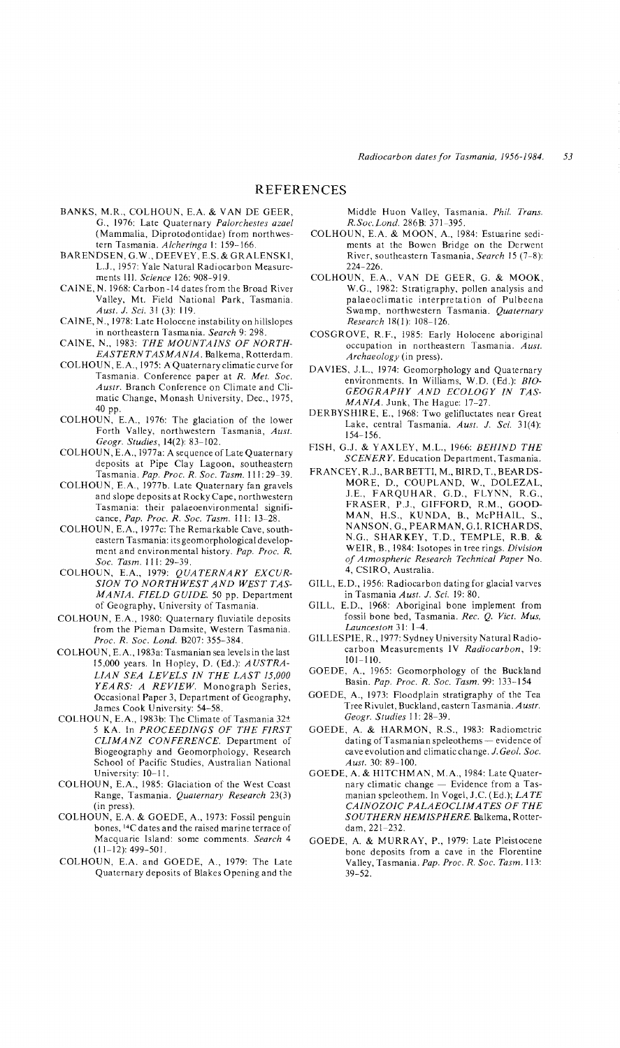- BANKS, M.R., COLHOUN, E.A. & VAN DE GEER, G., 1976: Late Quaternary *Palorchestes azael*  (Mammalia, Diprotodontidae) from northwestern Tasmania. *Alcheringa* I: 159-166.
- BARENDSEN, G. W., DEEVEY, E.S. & GRALENSKI, L.J., 1957: Yale Natural Radiocarbon Measurements III. *Science* 126: 908-919.
- CAINE, N. 1968: Carbon-14dates from the Broad River Valley, Mt. Field National Park, Tasmania. *Aust. J. Sci.* 31 (3): 119.
- CAINE, N., 1978: Late Holocene instability on hillslopes in northeastern Tasmania. *Search* 9: 298.
- CAINE, N., 1983: *THE MOUNTAINS OF NORTH-EASTERN TASMANIA.* Balkema, Rotterdam.
- COLHOUN, E.A., 1975: A Quaternaryclimaticcurvefor Tasmania. Conference paper at *R. Met. Soc. Austr.* Branch Conference on Climate and Climatic Change, Monash University, Dec., 1975, 40 pp.
- COLHOUN, E.A., 1976: The glaciation of the lower Forth Valley, northwestern Tasmania, *Aust. Geogr. Studies,* 14(2): 83-102.
- COLHOUN, E.A., 1977a: A sequence of Late Quaternary deposits at Pipe Clay Lagoon, southeastern Tasmania. *Pap. Proc. R. Soc. Tasm.* III: 29-39.
- COLHOUN, E.A., 1977b. Late Quaternary fan gravels and slope deposits at Rocky Cape, northwestern Tasmania: their palaeoenvironmental significance, *Pap. Proc. R. Soc. Tasm.* III: 13-28.
- COLHOUN, E.A., 1977c: The Remarkable Cave, southeastern Tasmania: its geomorphological development and environmental history. *Pap. Proc. R. Soc. Tasm.* 111: 29-39.
- COLHOUN, E.A., 1979: *QUATERNARY EXCUR-SION TO NORTHWEST AND WEST TAS-MANIA. FIELD GUIDE.* 50 pp. Department of Geography, University of Tasmania.
- COLHOUN, E.A., 1980: Quaternary fluviatile deposits from the Pieman Damsite, Western Tasmania. *Proc. R. Soc. Lond.* B207: 355-384.
- COLHOUN, E.A., 1983a: Tasmanian sea levels in the last 15,000 years. In Hopley, D. (Ed.): *AUSTRA-LIAN SEA LEVELS IN THE LAST 15,000 YEARS: A REVIEW.* Monograph Series, Occasional Paper 3, Department of Geography, James Cook University: 54-58.
- COLHOUN, E.A., 1983b: The Climate of Tasmania 32± 5 KA. In *PROCEEDINGS OF THE FIRST CLIMANZ CONFERENCE.* Department of Biogeography and Geomorphology, Research School of Pacific Studies, Australian National University: 10-11.
- COLHOUN, E.A., 1985: Glaciation of the West Coast Range, Tasmania. *Quaternary Research* 23(3) (in press).
- COLHOUN, E.A. & GOEDE, A., 1973: Fossil penguin bones, <sup>14</sup>C dates and the raised marine terrace of Macquarie Island: some comments. *Search 4*  (11-12): 499-501.
- COLHOUN, E.A. and GOEDE, A., 1979: The Late Quaternary deposits of Blakes Opening and the

Middle Huon Valley, Tasmania. *Phil. Trans. R.Soc.Lond.* 286B: 371-395.

- COLHOUN, E.A. & MOON, A., 1984: Estuarine sediments at the Bowen Bridge on the Derwent River, southeastern Tasmania, *Search* 15 (7-8): 224-226.
- COLHOUN, E.A., VAN DE GEER, G. & MOOK, W.G., 1982: Stratigraphy, pollen analysis and palaeoclimatic interpretation of Pulbeena Swamp, northwestern Tasmania. *Quaternary Research* 18(1): 108-126.
- COSGROVE, R.F., 1985: Early Holocene aboriginal occupation in northeastern Tasmania. *Aust. Archaeology* (in press).
- DAVIES, J.L., 1974: Geomorphology and Quaternary environments. In Williams, W.D. (Ed.): *BIO-GEOGRAPHY AND ECOLOGY IN TAS-MANIA.* Junk, The Hague: 17-27.
- DERBYSHIRE, E., 1968: Two gelifluctates near Great Lake, central Tasmania. *Aust.* J. *Sci.* 31(4): 154-156.
- FISH, G.J. & Y AXLEY, M.L., 1966: *BEHIND THE SCENERY.* Education Department, Tasmania.
- FRANCEY, R.J., BARBETTI, M., BIRD, T., BEARDS-MORE, D., COUPLAND, W., DOLEZAL, J.E., FARQUHAR, G.D., FLYNN, R.G., FRASER, P.J., GIFFORD, R.M., GOOD-MAN, H.S., KUNDA, B., McPHAIL, S., NANSON, G., PEARMAN, G.!. RICHARDS, N.G., SHARKEY, T.D., TEMPLE, R.B. & WEIR, B., 1984: Isotopes in tree rings. *Division of Atmospheric Research Technical Paper* No. 4, CSIRO, Australia.
- GILL, E.D., 1956: Radiocarbon dating for glacial varves in Tasmania *Aust.* J. *Sci.* 19: 80.
- GILL, E.D., 1968: Aboriginal bone implement from fossil bone bed, Tasmania. *Rec. Q. Vict. Mus, Launceston* 31: 1-4.
- GILLESPIE, R., 1977: Sydney University Natural Radiocarbon Measurements IV *Radiocarbon,* 19: 101-110.
- GOEDE, A., 1965: Geomorphology of the Buckland Basin. *Pap. Proc. R. Soc. Tasm.* 99: 133-154
- GOEDE, A., 1973: Floodplain stratigraphy of the Tea Tree Rivulet, Buckland, eastern Tasmania. *Austr. Geogr. Studies* 11: 28-39.
- GOEDE, A. & HARMON, R.S., 1983: Radiometric dating of Tasmanian speleothems - evidence of cave evolution and climatic change. J. *Geol. Soc. Aust.* 30: 89-100.
- GOEDE, A. & HITCHMAN, M.A., 1984: Late Quaternary climatic change - Evidence from a Tasmanian speleothem. In Vogel, J.C. (Ed.); *LATE CAINOZOIC PALAEOCLIMATES OF THE SOUTHERN HEMISPHERE.* Balkema, Rotterdam, 221-232.
- GOEDE, A. & MURRAY, P., 1979: Late Pleistocene bone deposits from a cave in the Florentine Valley, Tasmania. *Pap. Proc. R. Soc. Tasm.* 113: 39-52.